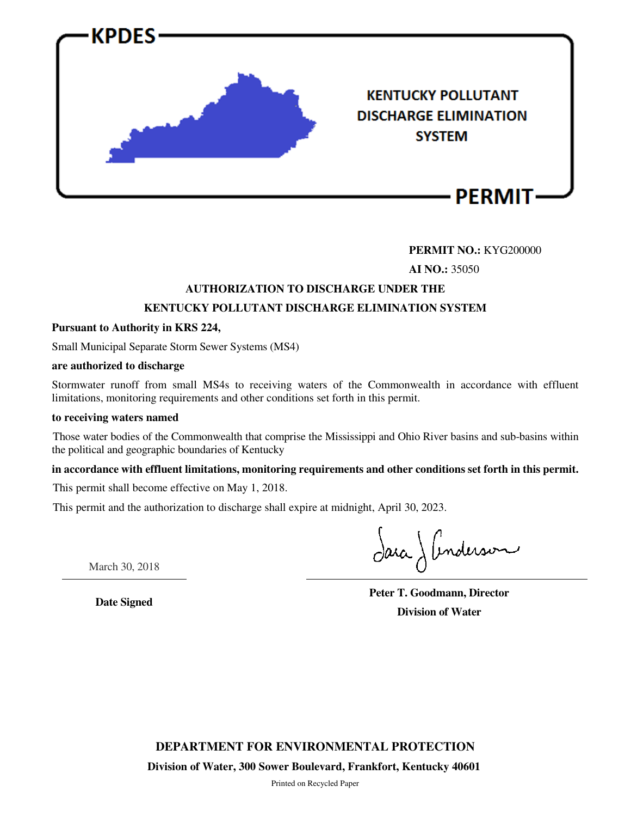

# **PERMIT NO.:** KYG200000

**AI NO.:** 35050

# **AUTHORIZATION TO DISCHARGE UNDER THE KENTUCKY POLLUTANT DISCHARGE ELIMINATION SYSTEM**

# **Pursuant to Authority in KRS 224,**

Small Municipal Separate Storm Sewer Systems (MS4)

#### **are authorized to discharge**

Stormwater runoff from small MS4s to receiving waters of the Commonwealth in accordance with effluent limitations, monitoring requirements and other conditions set forth in this permit.

#### **to receiving waters named**

Those water bodies of the Commonwealth that comprise the Mississippi and Ohio River basins and sub-basins within the political and geographic boundaries of Kentucky

# **in accordance with effluent limitations, monitoring requirements and other conditions set forth in this permit.**

This permit shall become effective on May 1, 2018.

This permit and the authorization to discharge shall expire at midnight, April 30, 2023.

Jaca J Anderson

March 30, 2018

**Date Signed**

**Peter T. Goodmann, Director Division of Water**

**DEPARTMENT FOR ENVIRONMENTAL PROTECTION**

**Division of Water, 300 Sower Boulevard, Frankfort, Kentucky 40601** 

Printed on Recycled Paper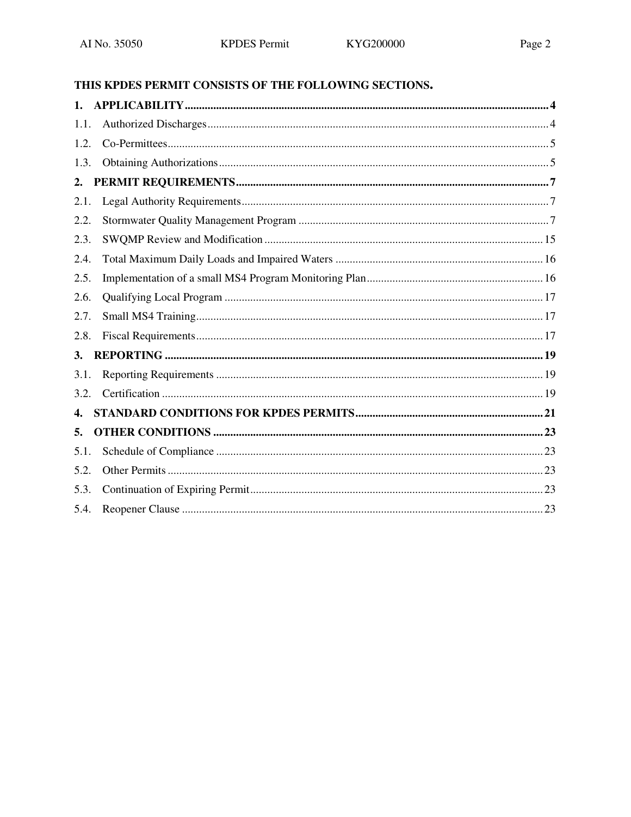# THIS KPDES PERMIT CONSISTS OF THE FOLLOWING SECTIONS.

| 1 <sub>1</sub> |  |
|----------------|--|
| 1.1.           |  |
| 1.2.           |  |
| 1.3.           |  |
| 2.             |  |
| 2.1.           |  |
| 2.2.           |  |
| 2.3.           |  |
| 2.4.           |  |
| 2.5.           |  |
| 2.6.           |  |
| 2.7.           |  |
| 2.8.           |  |
| 3.             |  |
| 3.1.           |  |
| 3.2.           |  |
| 4.             |  |
| 5.             |  |
| 5.1.           |  |
| 5.2.           |  |
| 5.3.           |  |
| 5.4.           |  |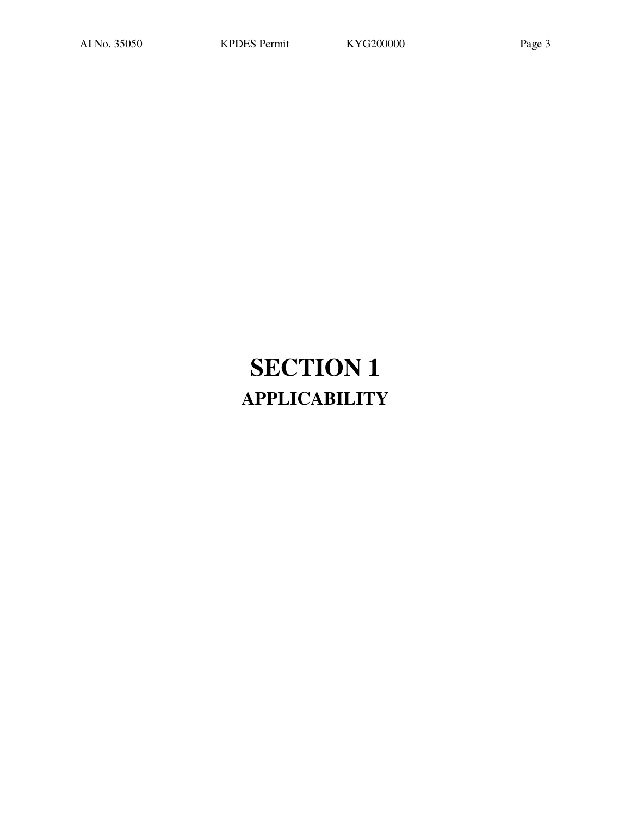# **SECTION 1 APPLICABILITY**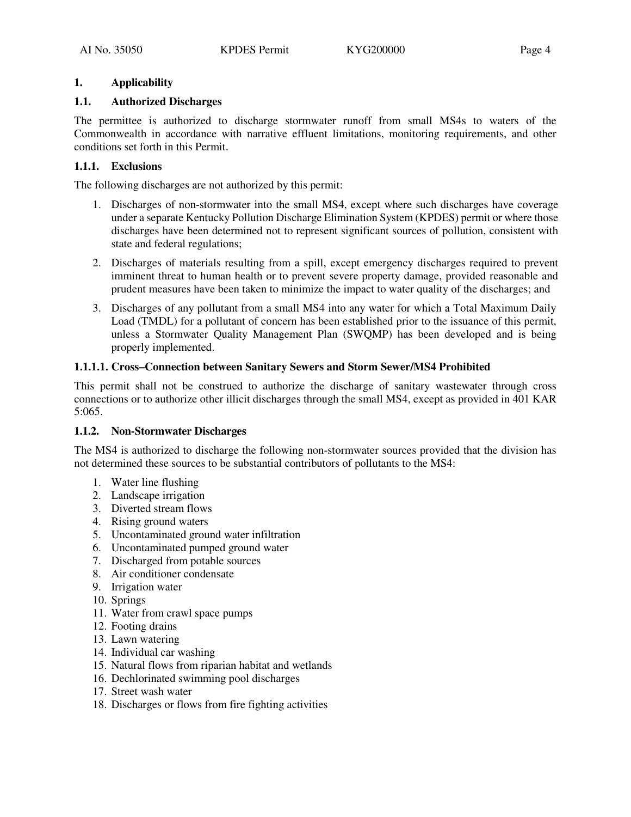# **1. Applicability**

# **1.1. Authorized Discharges**

The permittee is authorized to discharge stormwater runoff from small MS4s to waters of the Commonwealth in accordance with narrative effluent limitations, monitoring requirements, and other conditions set forth in this Permit.

# **1.1.1. Exclusions**

The following discharges are not authorized by this permit:

- 1. Discharges of non-stormwater into the small MS4, except where such discharges have coverage under a separate Kentucky Pollution Discharge Elimination System (KPDES) permit or where those discharges have been determined not to represent significant sources of pollution, consistent with state and federal regulations;
- 2. Discharges of materials resulting from a spill, except emergency discharges required to prevent imminent threat to human health or to prevent severe property damage, provided reasonable and prudent measures have been taken to minimize the impact to water quality of the discharges; and
- 3. Discharges of any pollutant from a small MS4 into any water for which a Total Maximum Daily Load (TMDL) for a pollutant of concern has been established prior to the issuance of this permit, unless a Stormwater Quality Management Plan (SWQMP) has been developed and is being properly implemented.

# **1.1.1.1. Cross–Connection between Sanitary Sewers and Storm Sewer/MS4 Prohibited**

This permit shall not be construed to authorize the discharge of sanitary wastewater through cross connections or to authorize other illicit discharges through the small MS4, except as provided in 401 KAR 5:065.

# **1.1.2. Non-Stormwater Discharges**

The MS4 is authorized to discharge the following non-stormwater sources provided that the division has not determined these sources to be substantial contributors of pollutants to the MS4:

- 1. Water line flushing
- 2. Landscape irrigation
- 3. Diverted stream flows
- 4. Rising ground waters
- 5. Uncontaminated ground water infiltration
- 6. Uncontaminated pumped ground water
- 7. Discharged from potable sources
- 8. Air conditioner condensate
- 9. Irrigation water
- 10. Springs
- 11. Water from crawl space pumps
- 12. Footing drains
- 13. Lawn watering
- 14. Individual car washing
- 15. Natural flows from riparian habitat and wetlands
- 16. Dechlorinated swimming pool discharges
- 17. Street wash water
- 18. Discharges or flows from fire fighting activities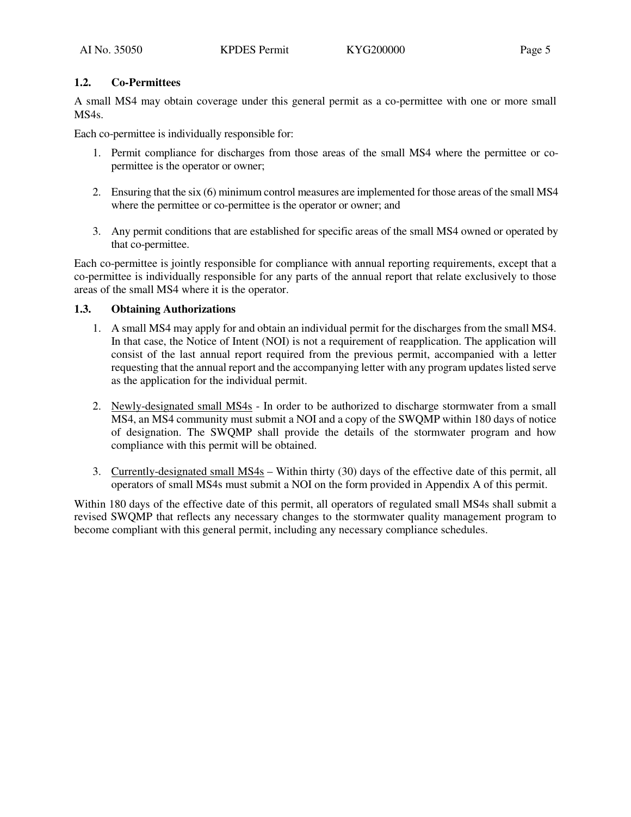# **1.2. Co-Permittees**

A small MS4 may obtain coverage under this general permit as a co-permittee with one or more small MS4s.

Each co-permittee is individually responsible for:

- 1. Permit compliance for discharges from those areas of the small MS4 where the permittee or copermittee is the operator or owner;
- 2. Ensuring that the six (6) minimum control measures are implemented for those areas of the small MS4 where the permittee or co-permittee is the operator or owner; and
- 3. Any permit conditions that are established for specific areas of the small MS4 owned or operated by that co-permittee.

Each co-permittee is jointly responsible for compliance with annual reporting requirements, except that a co-permittee is individually responsible for any parts of the annual report that relate exclusively to those areas of the small MS4 where it is the operator.

# **1.3. Obtaining Authorizations**

- 1. A small MS4 may apply for and obtain an individual permit for the discharges from the small MS4. In that case, the Notice of Intent (NOI) is not a requirement of reapplication. The application will consist of the last annual report required from the previous permit, accompanied with a letter requesting that the annual report and the accompanying letter with any program updates listed serve as the application for the individual permit.
- 2. Newly-designated small MS4s In order to be authorized to discharge stormwater from a small MS4, an MS4 community must submit a NOI and a copy of the SWQMP within 180 days of notice of designation. The SWQMP shall provide the details of the stormwater program and how compliance with this permit will be obtained.
- 3. Currently-designated small MS4s Within thirty (30) days of the effective date of this permit, all operators of small MS4s must submit a NOI on the form provided in Appendix A of this permit.

Within 180 days of the effective date of this permit, all operators of regulated small MS4s shall submit a revised SWQMP that reflects any necessary changes to the stormwater quality management program to become compliant with this general permit, including any necessary compliance schedules.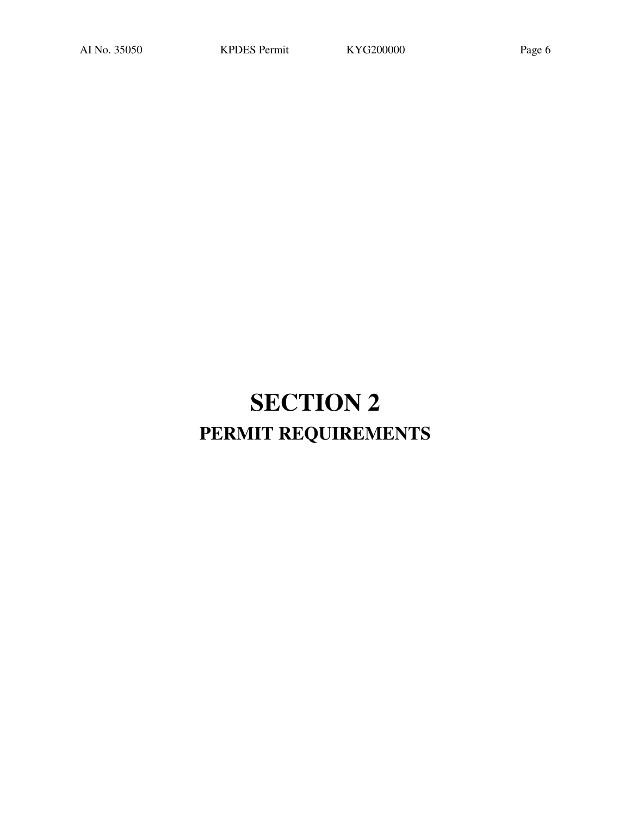# **SECTION 2 PERMIT REQUIREMENTS**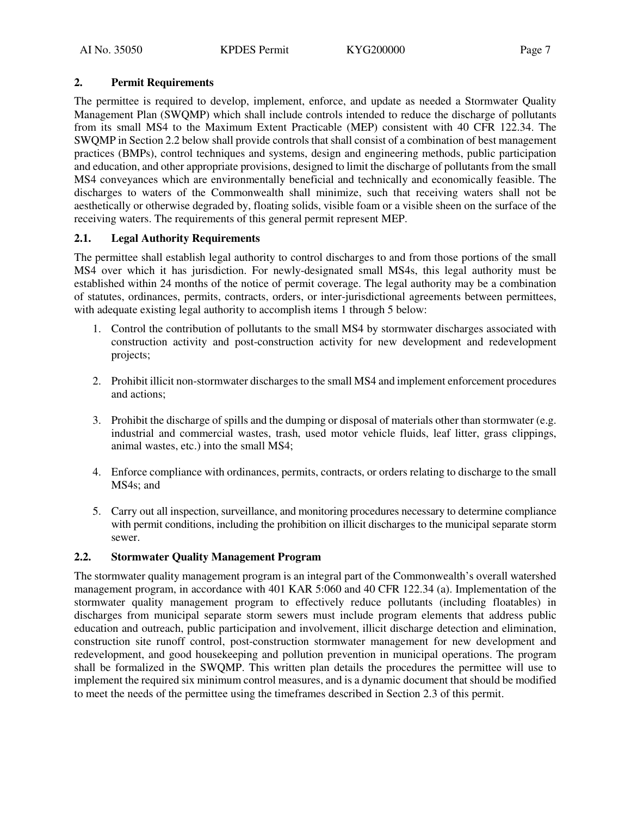# **2. Permit Requirements**

The permittee is required to develop, implement, enforce, and update as needed a Stormwater Quality Management Plan (SWQMP) which shall include controls intended to reduce the discharge of pollutants from its small MS4 to the Maximum Extent Practicable (MEP) consistent with 40 CFR 122.34. The SWQMP in Section 2.2 below shall provide controls that shall consist of a combination of best management practices (BMPs), control techniques and systems, design and engineering methods, public participation and education, and other appropriate provisions, designed to limit the discharge of pollutants from the small MS4 conveyances which are environmentally beneficial and technically and economically feasible. The discharges to waters of the Commonwealth shall minimize, such that receiving waters shall not be aesthetically or otherwise degraded by, floating solids, visible foam or a visible sheen on the surface of the receiving waters. The requirements of this general permit represent MEP.

# **2.1. Legal Authority Requirements**

The permittee shall establish legal authority to control discharges to and from those portions of the small MS4 over which it has jurisdiction. For newly-designated small MS4s, this legal authority must be established within 24 months of the notice of permit coverage. The legal authority may be a combination of statutes, ordinances, permits, contracts, orders, or inter-jurisdictional agreements between permittees, with adequate existing legal authority to accomplish items 1 through 5 below:

- 1. Control the contribution of pollutants to the small MS4 by stormwater discharges associated with construction activity and post-construction activity for new development and redevelopment projects;
- 2. Prohibit illicit non-stormwater discharges to the small MS4 and implement enforcement procedures and actions;
- 3. Prohibit the discharge of spills and the dumping or disposal of materials other than stormwater (e.g. industrial and commercial wastes, trash, used motor vehicle fluids, leaf litter, grass clippings, animal wastes, etc.) into the small MS4;
- 4. Enforce compliance with ordinances, permits, contracts, or orders relating to discharge to the small MS4s; and
- 5. Carry out all inspection, surveillance, and monitoring procedures necessary to determine compliance with permit conditions, including the prohibition on illicit discharges to the municipal separate storm sewer.

# **2.2. Stormwater Quality Management Program**

The stormwater quality management program is an integral part of the Commonwealth's overall watershed management program, in accordance with 401 KAR 5:060 and 40 CFR 122.34 (a). Implementation of the stormwater quality management program to effectively reduce pollutants (including floatables) in discharges from municipal separate storm sewers must include program elements that address public education and outreach, public participation and involvement, illicit discharge detection and elimination, construction site runoff control, post-construction stormwater management for new development and redevelopment, and good housekeeping and pollution prevention in municipal operations. The program shall be formalized in the SWQMP. This written plan details the procedures the permittee will use to implement the required six minimum control measures, and is a dynamic document that should be modified to meet the needs of the permittee using the timeframes described in Section 2.3 of this permit.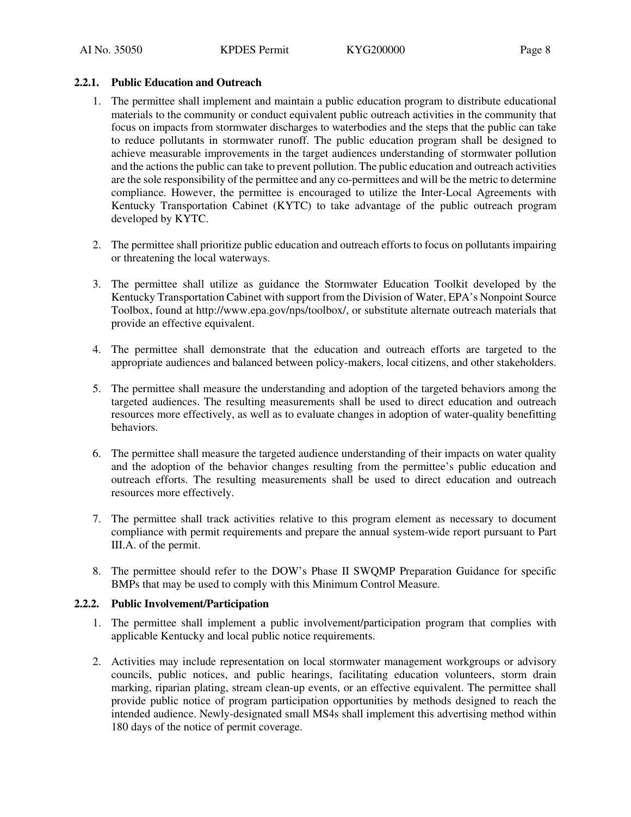# **2.2.1. Public Education and Outreach**

- 1. The permittee shall implement and maintain a public education program to distribute educational materials to the community or conduct equivalent public outreach activities in the community that focus on impacts from stormwater discharges to waterbodies and the steps that the public can take to reduce pollutants in stormwater runoff. The public education program shall be designed to achieve measurable improvements in the target audiences understanding of stormwater pollution and the actions the public can take to prevent pollution. The public education and outreach activities are the sole responsibility of the permittee and any co-permittees and will be the metric to determine compliance. However, the permittee is encouraged to utilize the Inter-Local Agreements with Kentucky Transportation Cabinet (KYTC) to take advantage of the public outreach program developed by KYTC.
- 2. The permittee shall prioritize public education and outreach efforts to focus on pollutants impairing or threatening the local waterways.
- 3. The permittee shall utilize as guidance the Stormwater Education Toolkit developed by the Kentucky Transportation Cabinet with support from the Division of Water, EPA's Nonpoint Source Toolbox, found at http://www.epa.gov/nps/toolbox/, or substitute alternate outreach materials that provide an effective equivalent.
- 4. The permittee shall demonstrate that the education and outreach efforts are targeted to the appropriate audiences and balanced between policy-makers, local citizens, and other stakeholders.
- 5. The permittee shall measure the understanding and adoption of the targeted behaviors among the targeted audiences. The resulting measurements shall be used to direct education and outreach resources more effectively, as well as to evaluate changes in adoption of water-quality benefitting behaviors.
- 6. The permittee shall measure the targeted audience understanding of their impacts on water quality and the adoption of the behavior changes resulting from the permittee's public education and outreach efforts. The resulting measurements shall be used to direct education and outreach resources more effectively.
- 7. The permittee shall track activities relative to this program element as necessary to document compliance with permit requirements and prepare the annual system-wide report pursuant to Part III.A. of the permit.
- 8. The permittee should refer to the DOW's Phase II SWQMP Preparation Guidance for specific BMPs that may be used to comply with this Minimum Control Measure.

# **2.2.2. Public Involvement/Participation**

- 1. The permittee shall implement a public involvement/participation program that complies with applicable Kentucky and local public notice requirements.
- 2. Activities may include representation on local stormwater management workgroups or advisory councils, public notices, and public hearings, facilitating education volunteers, storm drain marking, riparian plating, stream clean-up events, or an effective equivalent. The permittee shall provide public notice of program participation opportunities by methods designed to reach the intended audience. Newly-designated small MS4s shall implement this advertising method within 180 days of the notice of permit coverage.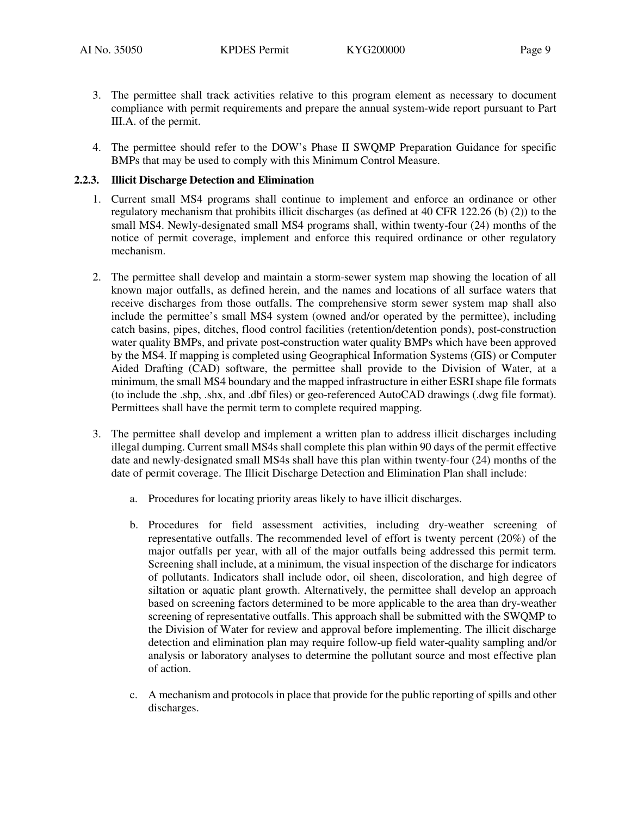- 
- 3. The permittee shall track activities relative to this program element as necessary to document compliance with permit requirements and prepare the annual system-wide report pursuant to Part III.A. of the permit.
- 4. The permittee should refer to the DOW's Phase II SWQMP Preparation Guidance for specific BMPs that may be used to comply with this Minimum Control Measure.

#### **2.2.3. Illicit Discharge Detection and Elimination**

- 1. Current small MS4 programs shall continue to implement and enforce an ordinance or other regulatory mechanism that prohibits illicit discharges (as defined at 40 CFR 122.26 (b) (2)) to the small MS4. Newly-designated small MS4 programs shall, within twenty-four (24) months of the notice of permit coverage, implement and enforce this required ordinance or other regulatory mechanism.
- 2. The permittee shall develop and maintain a storm-sewer system map showing the location of all known major outfalls, as defined herein, and the names and locations of all surface waters that receive discharges from those outfalls. The comprehensive storm sewer system map shall also include the permittee's small MS4 system (owned and/or operated by the permittee), including catch basins, pipes, ditches, flood control facilities (retention/detention ponds), post-construction water quality BMPs, and private post-construction water quality BMPs which have been approved by the MS4. If mapping is completed using Geographical Information Systems (GIS) or Computer Aided Drafting (CAD) software, the permittee shall provide to the Division of Water, at a minimum, the small MS4 boundary and the mapped infrastructure in either ESRI shape file formats (to include the .shp, .shx, and .dbf files) or geo-referenced AutoCAD drawings (.dwg file format). Permittees shall have the permit term to complete required mapping.
- 3. The permittee shall develop and implement a written plan to address illicit discharges including illegal dumping. Current small MS4s shall complete this plan within 90 days of the permit effective date and newly-designated small MS4s shall have this plan within twenty-four (24) months of the date of permit coverage. The Illicit Discharge Detection and Elimination Plan shall include:
	- a. Procedures for locating priority areas likely to have illicit discharges.
	- b. Procedures for field assessment activities, including dry-weather screening of representative outfalls. The recommended level of effort is twenty percent (20%) of the major outfalls per year, with all of the major outfalls being addressed this permit term. Screening shall include, at a minimum, the visual inspection of the discharge for indicators of pollutants. Indicators shall include odor, oil sheen, discoloration, and high degree of siltation or aquatic plant growth. Alternatively, the permittee shall develop an approach based on screening factors determined to be more applicable to the area than dry-weather screening of representative outfalls. This approach shall be submitted with the SWQMP to the Division of Water for review and approval before implementing. The illicit discharge detection and elimination plan may require follow-up field water-quality sampling and/or analysis or laboratory analyses to determine the pollutant source and most effective plan of action.
	- c. A mechanism and protocols in place that provide for the public reporting of spills and other discharges.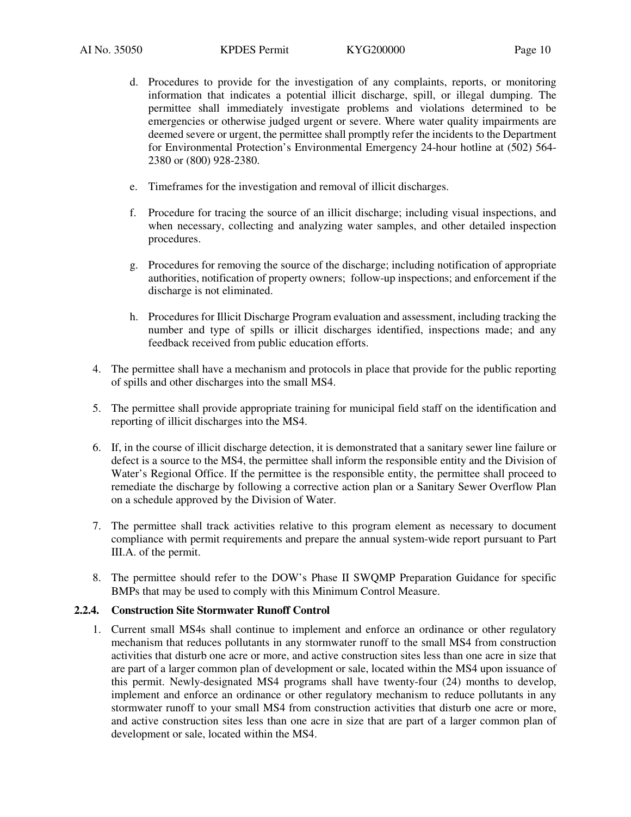- d. Procedures to provide for the investigation of any complaints, reports, or monitoring information that indicates a potential illicit discharge, spill, or illegal dumping. The permittee shall immediately investigate problems and violations determined to be emergencies or otherwise judged urgent or severe. Where water quality impairments are deemed severe or urgent, the permittee shall promptly refer the incidents to the Department for Environmental Protection's Environmental Emergency 24-hour hotline at (502) 564- 2380 or (800) 928-2380.
- e. Timeframes for the investigation and removal of illicit discharges.
- f. Procedure for tracing the source of an illicit discharge; including visual inspections, and when necessary, collecting and analyzing water samples, and other detailed inspection procedures.
- g. Procedures for removing the source of the discharge; including notification of appropriate authorities, notification of property owners; follow-up inspections; and enforcement if the discharge is not eliminated.
- h. Procedures for Illicit Discharge Program evaluation and assessment, including tracking the number and type of spills or illicit discharges identified, inspections made; and any feedback received from public education efforts.
- 4. The permittee shall have a mechanism and protocols in place that provide for the public reporting of spills and other discharges into the small MS4.
- 5. The permittee shall provide appropriate training for municipal field staff on the identification and reporting of illicit discharges into the MS4.
- 6. If, in the course of illicit discharge detection, it is demonstrated that a sanitary sewer line failure or defect is a source to the MS4, the permittee shall inform the responsible entity and the Division of Water's Regional Office. If the permittee is the responsible entity, the permittee shall proceed to remediate the discharge by following a corrective action plan or a Sanitary Sewer Overflow Plan on a schedule approved by the Division of Water.
- 7. The permittee shall track activities relative to this program element as necessary to document compliance with permit requirements and prepare the annual system-wide report pursuant to Part III.A. of the permit.
- 8. The permittee should refer to the DOW's Phase II SWQMP Preparation Guidance for specific BMPs that may be used to comply with this Minimum Control Measure.

#### **2.2.4. Construction Site Stormwater Runoff Control**

1. Current small MS4s shall continue to implement and enforce an ordinance or other regulatory mechanism that reduces pollutants in any stormwater runoff to the small MS4 from construction activities that disturb one acre or more, and active construction sites less than one acre in size that are part of a larger common plan of development or sale, located within the MS4 upon issuance of this permit. Newly-designated MS4 programs shall have twenty-four (24) months to develop, implement and enforce an ordinance or other regulatory mechanism to reduce pollutants in any stormwater runoff to your small MS4 from construction activities that disturb one acre or more, and active construction sites less than one acre in size that are part of a larger common plan of development or sale, located within the MS4.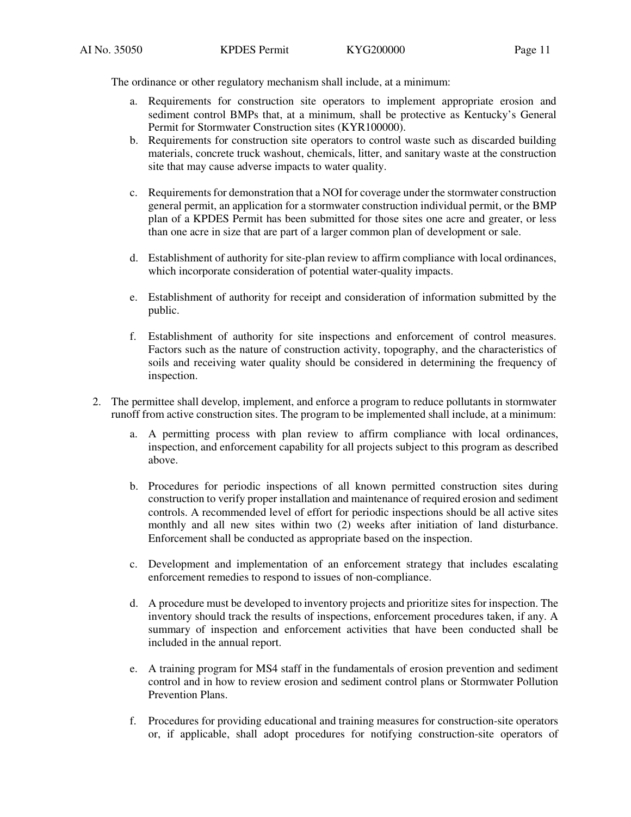The ordinance or other regulatory mechanism shall include, at a minimum:

- a. Requirements for construction site operators to implement appropriate erosion and sediment control BMPs that, at a minimum, shall be protective as Kentucky's General Permit for Stormwater Construction sites (KYR100000).
- b. Requirements for construction site operators to control waste such as discarded building materials, concrete truck washout, chemicals, litter, and sanitary waste at the construction site that may cause adverse impacts to water quality.
- c. Requirements for demonstration that a NOI for coverage under the stormwater construction general permit, an application for a stormwater construction individual permit, or the BMP plan of a KPDES Permit has been submitted for those sites one acre and greater, or less than one acre in size that are part of a larger common plan of development or sale.
- d. Establishment of authority for site-plan review to affirm compliance with local ordinances, which incorporate consideration of potential water-quality impacts.
- e. Establishment of authority for receipt and consideration of information submitted by the public.
- f. Establishment of authority for site inspections and enforcement of control measures. Factors such as the nature of construction activity, topography, and the characteristics of soils and receiving water quality should be considered in determining the frequency of inspection.
- 2. The permittee shall develop, implement, and enforce a program to reduce pollutants in stormwater runoff from active construction sites. The program to be implemented shall include, at a minimum:
	- a. A permitting process with plan review to affirm compliance with local ordinances, inspection, and enforcement capability for all projects subject to this program as described above.
	- b. Procedures for periodic inspections of all known permitted construction sites during construction to verify proper installation and maintenance of required erosion and sediment controls. A recommended level of effort for periodic inspections should be all active sites monthly and all new sites within two (2) weeks after initiation of land disturbance. Enforcement shall be conducted as appropriate based on the inspection.
	- c. Development and implementation of an enforcement strategy that includes escalating enforcement remedies to respond to issues of non-compliance.
	- d. A procedure must be developed to inventory projects and prioritize sites for inspection. The inventory should track the results of inspections, enforcement procedures taken, if any. A summary of inspection and enforcement activities that have been conducted shall be included in the annual report.
	- e. A training program for MS4 staff in the fundamentals of erosion prevention and sediment control and in how to review erosion and sediment control plans or Stormwater Pollution Prevention Plans.
	- f. Procedures for providing educational and training measures for construction-site operators or, if applicable, shall adopt procedures for notifying construction-site operators of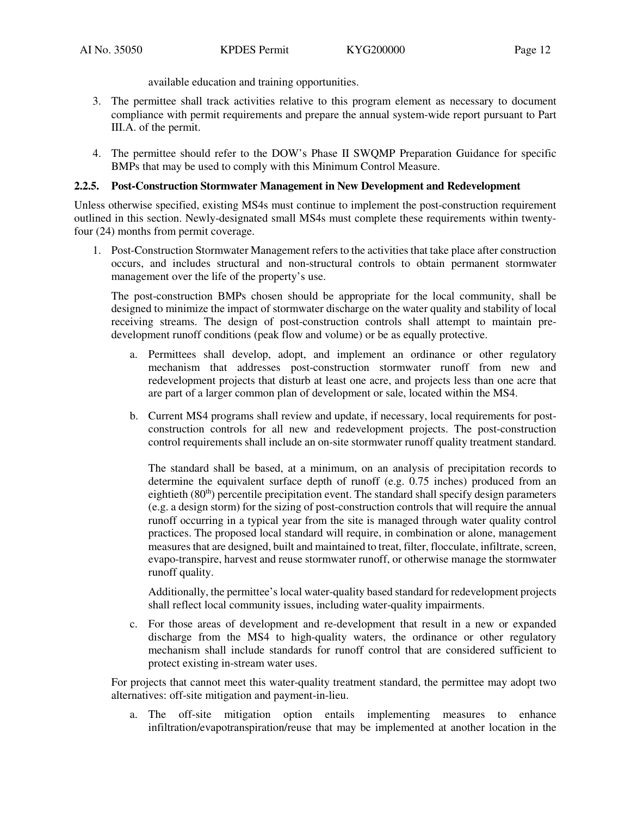available education and training opportunities.

- 3. The permittee shall track activities relative to this program element as necessary to document compliance with permit requirements and prepare the annual system-wide report pursuant to Part III.A. of the permit.
- 4. The permittee should refer to the DOW's Phase II SWQMP Preparation Guidance for specific BMPs that may be used to comply with this Minimum Control Measure.

## **2.2.5. Post-Construction Stormwater Management in New Development and Redevelopment**

Unless otherwise specified, existing MS4s must continue to implement the post-construction requirement outlined in this section. Newly-designated small MS4s must complete these requirements within twentyfour (24) months from permit coverage.

1. Post-Construction Stormwater Management refers to the activities that take place after construction occurs, and includes structural and non-structural controls to obtain permanent stormwater management over the life of the property's use.

The post-construction BMPs chosen should be appropriate for the local community, shall be designed to minimize the impact of stormwater discharge on the water quality and stability of local receiving streams. The design of post-construction controls shall attempt to maintain predevelopment runoff conditions (peak flow and volume) or be as equally protective.

- a. Permittees shall develop, adopt, and implement an ordinance or other regulatory mechanism that addresses post-construction stormwater runoff from new and redevelopment projects that disturb at least one acre, and projects less than one acre that are part of a larger common plan of development or sale, located within the MS4.
- b. Current MS4 programs shall review and update, if necessary, local requirements for postconstruction controls for all new and redevelopment projects. The post-construction control requirements shall include an on-site stormwater runoff quality treatment standard.

The standard shall be based, at a minimum, on an analysis of precipitation records to determine the equivalent surface depth of runoff (e.g. 0.75 inches) produced from an eightieth  $(80<sup>th</sup>)$  percentile precipitation event. The standard shall specify design parameters (e.g. a design storm) for the sizing of post-construction controls that will require the annual runoff occurring in a typical year from the site is managed through water quality control practices. The proposed local standard will require, in combination or alone, management measures that are designed, built and maintained to treat, filter, flocculate, infiltrate, screen, evapo-transpire, harvest and reuse stormwater runoff, or otherwise manage the stormwater runoff quality.

Additionally, the permittee's local water-quality based standard for redevelopment projects shall reflect local community issues, including water-quality impairments.

c. For those areas of development and re-development that result in a new or expanded discharge from the MS4 to high-quality waters, the ordinance or other regulatory mechanism shall include standards for runoff control that are considered sufficient to protect existing in-stream water uses.

For projects that cannot meet this water-quality treatment standard, the permittee may adopt two alternatives: off-site mitigation and payment-in-lieu.

a. The off-site mitigation option entails implementing measures to enhance infiltration/evapotranspiration/reuse that may be implemented at another location in the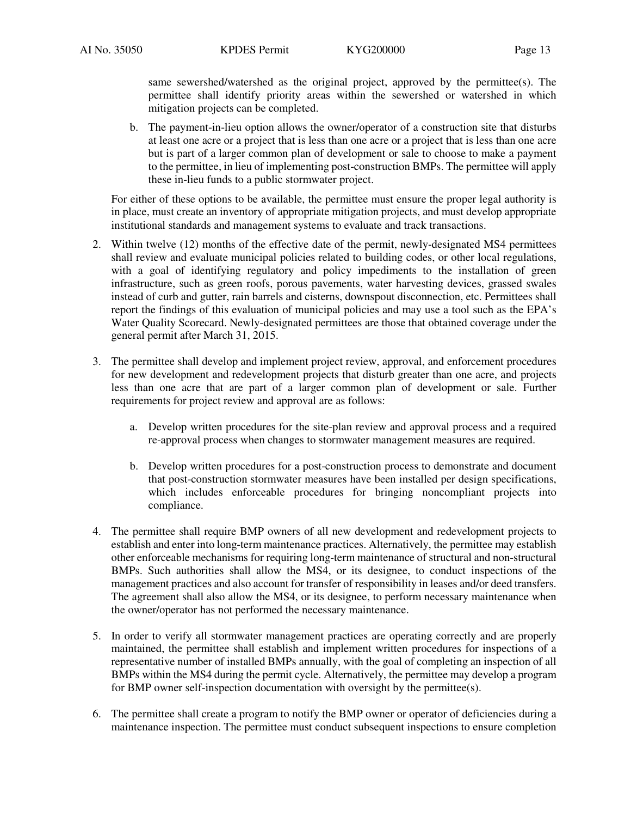same sewershed/watershed as the original project, approved by the permittee(s). The permittee shall identify priority areas within the sewershed or watershed in which mitigation projects can be completed.

b. The payment-in-lieu option allows the owner/operator of a construction site that disturbs at least one acre or a project that is less than one acre or a project that is less than one acre but is part of a larger common plan of development or sale to choose to make a payment to the permittee, in lieu of implementing post-construction BMPs. The permittee will apply these in-lieu funds to a public stormwater project.

 For either of these options to be available, the permittee must ensure the proper legal authority is in place, must create an inventory of appropriate mitigation projects, and must develop appropriate institutional standards and management systems to evaluate and track transactions.

- 2. Within twelve (12) months of the effective date of the permit, newly-designated MS4 permittees shall review and evaluate municipal policies related to building codes, or other local regulations, with a goal of identifying regulatory and policy impediments to the installation of green infrastructure, such as green roofs, porous pavements, water harvesting devices, grassed swales instead of curb and gutter, rain barrels and cisterns, downspout disconnection, etc. Permittees shall report the findings of this evaluation of municipal policies and may use a tool such as the EPA's Water Quality Scorecard. Newly-designated permittees are those that obtained coverage under the general permit after March 31, 2015.
- 3. The permittee shall develop and implement project review, approval, and enforcement procedures for new development and redevelopment projects that disturb greater than one acre, and projects less than one acre that are part of a larger common plan of development or sale. Further requirements for project review and approval are as follows:
	- a. Develop written procedures for the site-plan review and approval process and a required re-approval process when changes to stormwater management measures are required.
	- b. Develop written procedures for a post-construction process to demonstrate and document that post-construction stormwater measures have been installed per design specifications, which includes enforceable procedures for bringing noncompliant projects into compliance.
- 4. The permittee shall require BMP owners of all new development and redevelopment projects to establish and enter into long-term maintenance practices. Alternatively, the permittee may establish other enforceable mechanisms for requiring long-term maintenance of structural and non-structural BMPs. Such authorities shall allow the MS4, or its designee, to conduct inspections of the management practices and also account for transfer of responsibility in leases and/or deed transfers. The agreement shall also allow the MS4, or its designee, to perform necessary maintenance when the owner/operator has not performed the necessary maintenance.
- 5. In order to verify all stormwater management practices are operating correctly and are properly maintained, the permittee shall establish and implement written procedures for inspections of a representative number of installed BMPs annually, with the goal of completing an inspection of all BMPs within the MS4 during the permit cycle. Alternatively, the permittee may develop a program for BMP owner self-inspection documentation with oversight by the permittee(s).
- 6. The permittee shall create a program to notify the BMP owner or operator of deficiencies during a maintenance inspection. The permittee must conduct subsequent inspections to ensure completion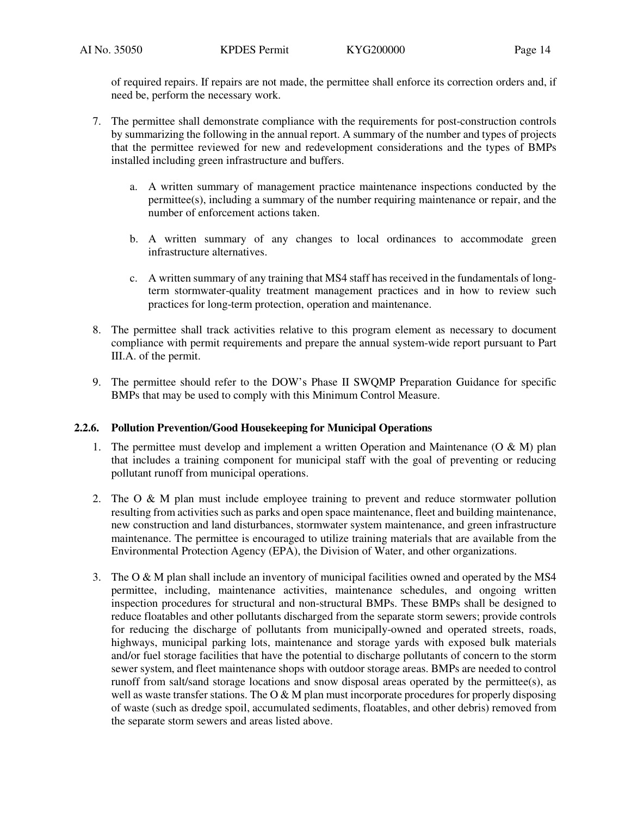of required repairs. If repairs are not made, the permittee shall enforce its correction orders and, if need be, perform the necessary work.

- 7. The permittee shall demonstrate compliance with the requirements for post-construction controls by summarizing the following in the annual report. A summary of the number and types of projects that the permittee reviewed for new and redevelopment considerations and the types of BMPs installed including green infrastructure and buffers.
	- a. A written summary of management practice maintenance inspections conducted by the permittee(s), including a summary of the number requiring maintenance or repair, and the number of enforcement actions taken.
	- b. A written summary of any changes to local ordinances to accommodate green infrastructure alternatives.
	- c. A written summary of any training that MS4 staff has received in the fundamentals of longterm stormwater-quality treatment management practices and in how to review such practices for long-term protection, operation and maintenance.
- 8. The permittee shall track activities relative to this program element as necessary to document compliance with permit requirements and prepare the annual system-wide report pursuant to Part III.A. of the permit.
- 9. The permittee should refer to the DOW's Phase II SWQMP Preparation Guidance for specific BMPs that may be used to comply with this Minimum Control Measure.

# **2.2.6. Pollution Prevention/Good Housekeeping for Municipal Operations**

- 1. The permittee must develop and implement a written Operation and Maintenance  $(O & M)$  plan that includes a training component for municipal staff with the goal of preventing or reducing pollutant runoff from municipal operations.
- 2. The O & M plan must include employee training to prevent and reduce stormwater pollution resulting from activities such as parks and open space maintenance, fleet and building maintenance, new construction and land disturbances, stormwater system maintenance, and green infrastructure maintenance. The permittee is encouraged to utilize training materials that are available from the Environmental Protection Agency (EPA), the Division of Water, and other organizations.
- 3. The O & M plan shall include an inventory of municipal facilities owned and operated by the MS4 permittee, including, maintenance activities, maintenance schedules, and ongoing written inspection procedures for structural and non-structural BMPs. These BMPs shall be designed to reduce floatables and other pollutants discharged from the separate storm sewers; provide controls for reducing the discharge of pollutants from municipally-owned and operated streets, roads, highways, municipal parking lots, maintenance and storage yards with exposed bulk materials and/or fuel storage facilities that have the potential to discharge pollutants of concern to the storm sewer system, and fleet maintenance shops with outdoor storage areas. BMPs are needed to control runoff from salt/sand storage locations and snow disposal areas operated by the permittee(s), as well as waste transfer stations. The O  $\&$  M plan must incorporate procedures for properly disposing of waste (such as dredge spoil, accumulated sediments, floatables, and other debris) removed from the separate storm sewers and areas listed above.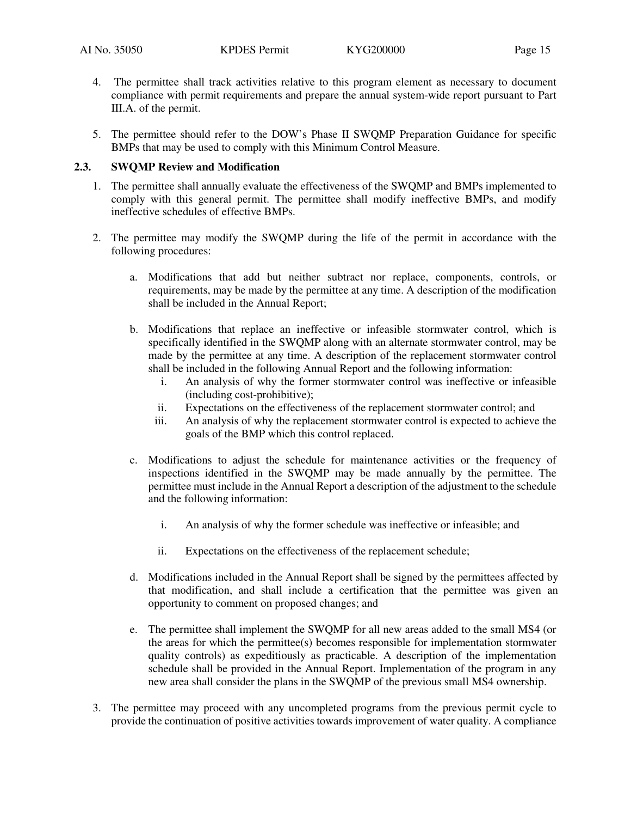- 4. The permittee shall track activities relative to this program element as necessary to document compliance with permit requirements and prepare the annual system-wide report pursuant to Part III.A. of the permit.
- 5. The permittee should refer to the DOW's Phase II SWQMP Preparation Guidance for specific BMPs that may be used to comply with this Minimum Control Measure.

### **2.3. SWQMP Review and Modification**

- 1. The permittee shall annually evaluate the effectiveness of the SWQMP and BMPs implemented to comply with this general permit. The permittee shall modify ineffective BMPs, and modify ineffective schedules of effective BMPs.
- 2. The permittee may modify the SWQMP during the life of the permit in accordance with the following procedures:
	- a. Modifications that add but neither subtract nor replace, components, controls, or requirements, may be made by the permittee at any time. A description of the modification shall be included in the Annual Report;
	- b. Modifications that replace an ineffective or infeasible stormwater control, which is specifically identified in the SWQMP along with an alternate stormwater control, may be made by the permittee at any time. A description of the replacement stormwater control shall be included in the following Annual Report and the following information:
		- i. An analysis of why the former stormwater control was ineffective or infeasible (including cost-prohibitive);
		- ii. Expectations on the effectiveness of the replacement stormwater control; and
		- iii. An analysis of why the replacement stormwater control is expected to achieve the goals of the BMP which this control replaced.
	- c. Modifications to adjust the schedule for maintenance activities or the frequency of inspections identified in the SWQMP may be made annually by the permittee. The permittee must include in the Annual Report a description of the adjustment to the schedule and the following information:
		- i. An analysis of why the former schedule was ineffective or infeasible; and
		- ii. Expectations on the effectiveness of the replacement schedule;
	- d. Modifications included in the Annual Report shall be signed by the permittees affected by that modification, and shall include a certification that the permittee was given an opportunity to comment on proposed changes; and
	- e. The permittee shall implement the SWQMP for all new areas added to the small MS4 (or the areas for which the permittee(s) becomes responsible for implementation stormwater quality controls) as expeditiously as practicable. A description of the implementation schedule shall be provided in the Annual Report. Implementation of the program in any new area shall consider the plans in the SWQMP of the previous small MS4 ownership.
- 3. The permittee may proceed with any uncompleted programs from the previous permit cycle to provide the continuation of positive activities towards improvement of water quality. A compliance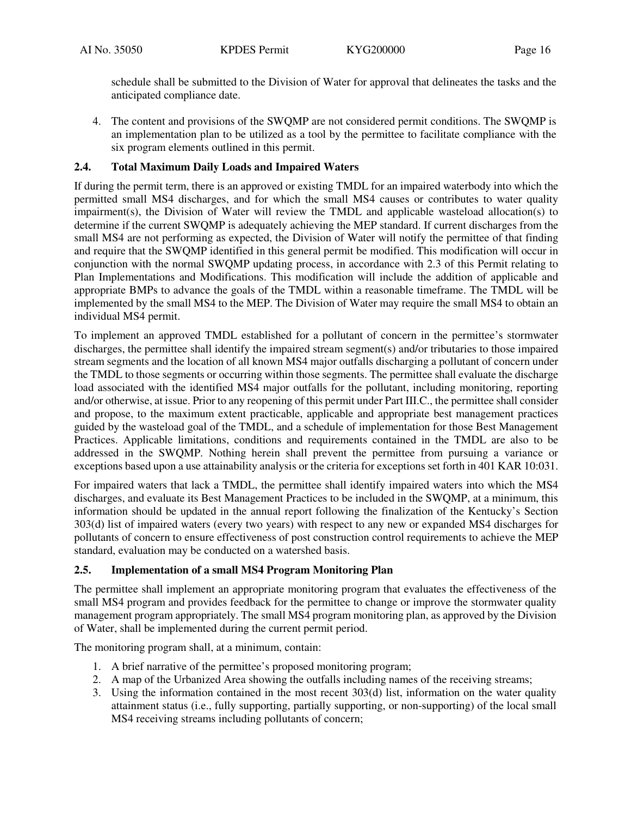schedule shall be submitted to the Division of Water for approval that delineates the tasks and the anticipated compliance date.

4. The content and provisions of the SWQMP are not considered permit conditions. The SWQMP is an implementation plan to be utilized as a tool by the permittee to facilitate compliance with the six program elements outlined in this permit.

## **2.4. Total Maximum Daily Loads and Impaired Waters**

If during the permit term, there is an approved or existing TMDL for an impaired waterbody into which the permitted small MS4 discharges, and for which the small MS4 causes or contributes to water quality impairment(s), the Division of Water will review the TMDL and applicable wasteload allocation(s) to determine if the current SWQMP is adequately achieving the MEP standard. If current discharges from the small MS4 are not performing as expected, the Division of Water will notify the permittee of that finding and require that the SWQMP identified in this general permit be modified. This modification will occur in conjunction with the normal SWQMP updating process, in accordance with 2.3 of this Permit relating to Plan Implementations and Modifications. This modification will include the addition of applicable and appropriate BMPs to advance the goals of the TMDL within a reasonable timeframe. The TMDL will be implemented by the small MS4 to the MEP. The Division of Water may require the small MS4 to obtain an individual MS4 permit.

To implement an approved TMDL established for a pollutant of concern in the permittee's stormwater discharges, the permittee shall identify the impaired stream segment(s) and/or tributaries to those impaired stream segments and the location of all known MS4 major outfalls discharging a pollutant of concern under the TMDL to those segments or occurring within those segments. The permittee shall evaluate the discharge load associated with the identified MS4 major outfalls for the pollutant, including monitoring, reporting and/or otherwise, at issue. Prior to any reopening of this permit under Part III.C., the permittee shall consider and propose, to the maximum extent practicable, applicable and appropriate best management practices guided by the wasteload goal of the TMDL, and a schedule of implementation for those Best Management Practices. Applicable limitations, conditions and requirements contained in the TMDL are also to be addressed in the SWQMP. Nothing herein shall prevent the permittee from pursuing a variance or exceptions based upon a use attainability analysis or the criteria for exceptions set forth in 401 KAR 10:031.

For impaired waters that lack a TMDL, the permittee shall identify impaired waters into which the MS4 discharges, and evaluate its Best Management Practices to be included in the SWQMP, at a minimum, this information should be updated in the annual report following the finalization of the Kentucky's Section 303(d) list of impaired waters (every two years) with respect to any new or expanded MS4 discharges for pollutants of concern to ensure effectiveness of post construction control requirements to achieve the MEP standard, evaluation may be conducted on a watershed basis.

# **2.5. Implementation of a small MS4 Program Monitoring Plan**

The permittee shall implement an appropriate monitoring program that evaluates the effectiveness of the small MS4 program and provides feedback for the permittee to change or improve the stormwater quality management program appropriately. The small MS4 program monitoring plan, as approved by the Division of Water, shall be implemented during the current permit period.

The monitoring program shall, at a minimum, contain:

- 1. A brief narrative of the permittee's proposed monitoring program;
- 2. A map of the Urbanized Area showing the outfalls including names of the receiving streams;
- 3. Using the information contained in the most recent 303(d) list, information on the water quality attainment status (i.e., fully supporting, partially supporting, or non-supporting) of the local small MS4 receiving streams including pollutants of concern;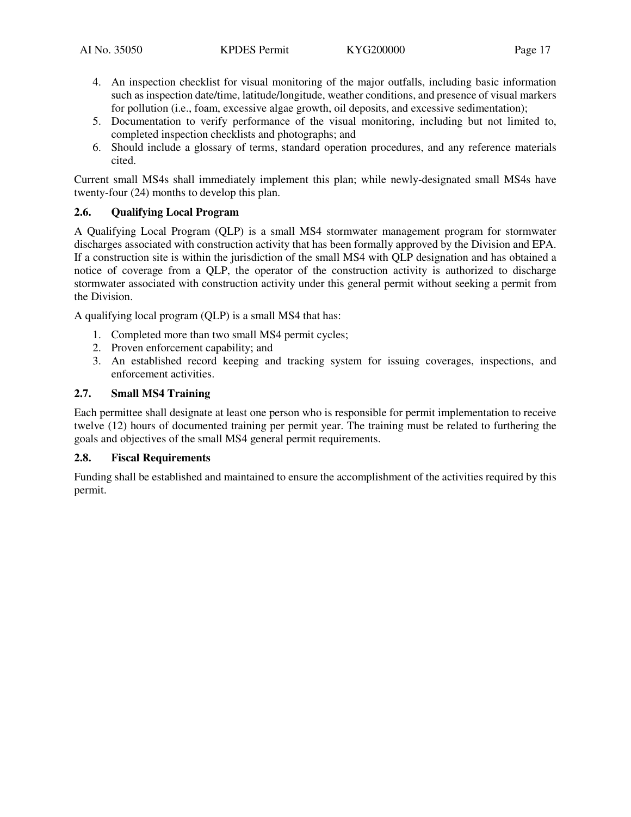- 4. An inspection checklist for visual monitoring of the major outfalls, including basic information such as inspection date/time, latitude/longitude, weather conditions, and presence of visual markers for pollution (i.e., foam, excessive algae growth, oil deposits, and excessive sedimentation);
- 5. Documentation to verify performance of the visual monitoring, including but not limited to, completed inspection checklists and photographs; and
- 6. Should include a glossary of terms, standard operation procedures, and any reference materials cited.

Current small MS4s shall immediately implement this plan; while newly-designated small MS4s have twenty-four (24) months to develop this plan.

# **2.6. Qualifying Local Program**

A Qualifying Local Program (QLP) is a small MS4 stormwater management program for stormwater discharges associated with construction activity that has been formally approved by the Division and EPA. If a construction site is within the jurisdiction of the small MS4 with QLP designation and has obtained a notice of coverage from a QLP, the operator of the construction activity is authorized to discharge stormwater associated with construction activity under this general permit without seeking a permit from the Division.

A qualifying local program (QLP) is a small MS4 that has:

- 1. Completed more than two small MS4 permit cycles;
- 2. Proven enforcement capability; and
- 3. An established record keeping and tracking system for issuing coverages, inspections, and enforcement activities.

## **2.7. Small MS4 Training**

Each permittee shall designate at least one person who is responsible for permit implementation to receive twelve (12) hours of documented training per permit year. The training must be related to furthering the goals and objectives of the small MS4 general permit requirements.

#### **2.8. Fiscal Requirements**

Funding shall be established and maintained to ensure the accomplishment of the activities required by this permit.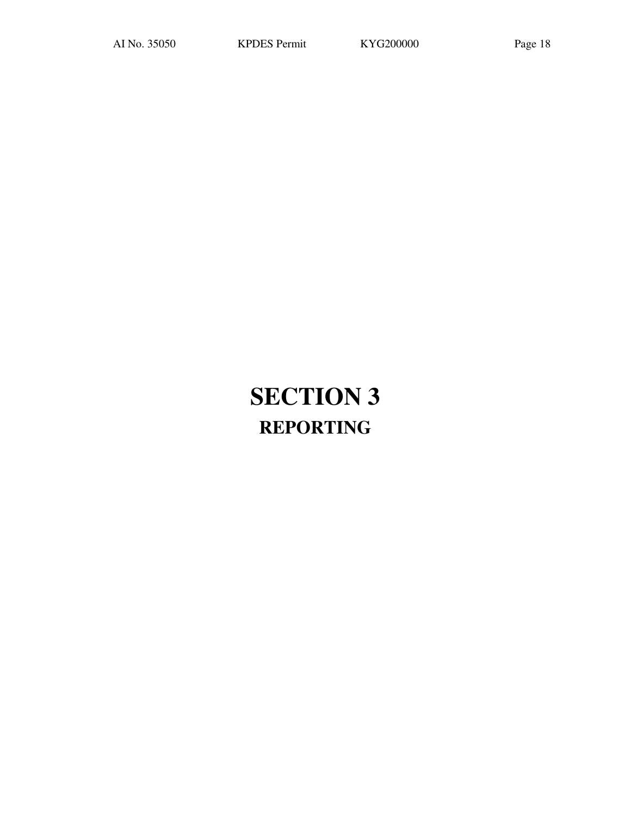# **SECTION 3 REPORTING**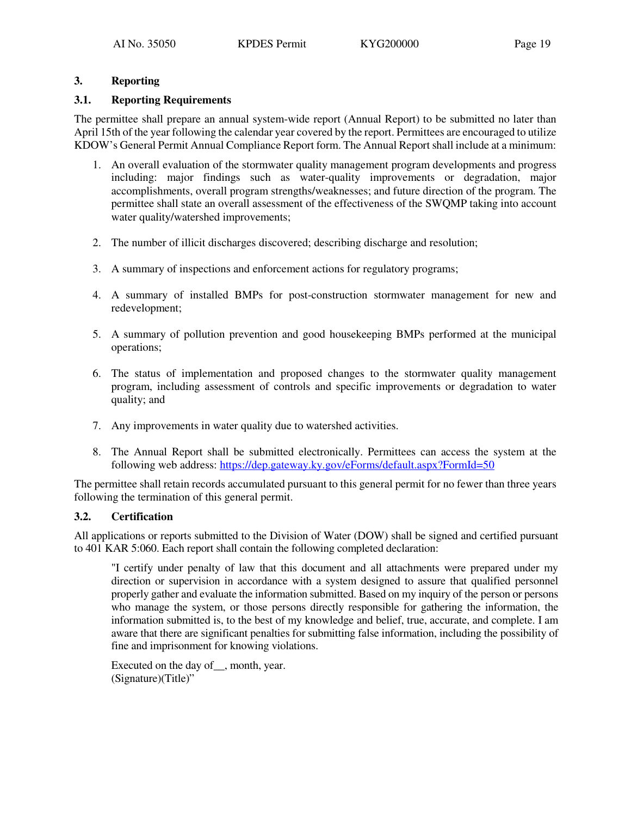# **3. Reporting**

# **3.1. Reporting Requirements**

The permittee shall prepare an annual system-wide report (Annual Report) to be submitted no later than April 15th of the year following the calendar year covered by the report. Permittees are encouraged to utilize KDOW's General Permit Annual Compliance Report form. The Annual Report shall include at a minimum:

- 1. An overall evaluation of the stormwater quality management program developments and progress including: major findings such as water-quality improvements or degradation, major accomplishments, overall program strengths/weaknesses; and future direction of the program. The permittee shall state an overall assessment of the effectiveness of the SWQMP taking into account water quality/watershed improvements;
- 2. The number of illicit discharges discovered; describing discharge and resolution;
- 3. A summary of inspections and enforcement actions for regulatory programs;
- 4. A summary of installed BMPs for post-construction stormwater management for new and redevelopment;
- 5. A summary of pollution prevention and good housekeeping BMPs performed at the municipal operations;
- 6. The status of implementation and proposed changes to the stormwater quality management program, including assessment of controls and specific improvements or degradation to water quality; and
- 7. Any improvements in water quality due to watershed activities.
- 8. The Annual Report shall be submitted electronically. Permittees can access the system at the following web address: https://dep.gateway.ky.gov/eForms/default.aspx?FormId=50

The permittee shall retain records accumulated pursuant to this general permit for no fewer than three years following the termination of this general permit.

# **3.2. Certification**

All applications or reports submitted to the Division of Water (DOW) shall be signed and certified pursuant to 401 KAR 5:060. Each report shall contain the following completed declaration:

"I certify under penalty of law that this document and all attachments were prepared under my direction or supervision in accordance with a system designed to assure that qualified personnel properly gather and evaluate the information submitted. Based on my inquiry of the person or persons who manage the system, or those persons directly responsible for gathering the information, the information submitted is, to the best of my knowledge and belief, true, accurate, and complete. I am aware that there are significant penalties for submitting false information, including the possibility of fine and imprisonment for knowing violations.

Executed on the day of, month, year. (Signature)(Title)"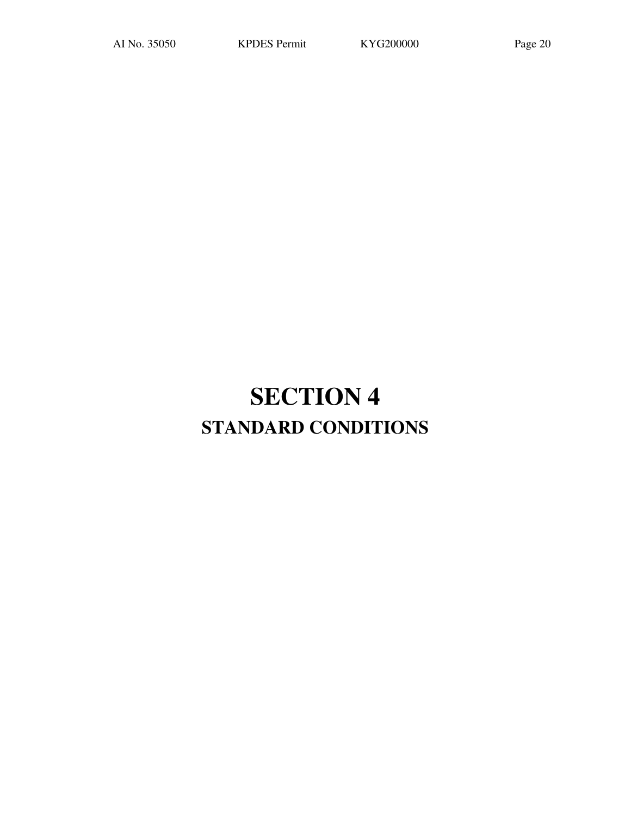# **SECTION 4 STANDARD CONDITIONS**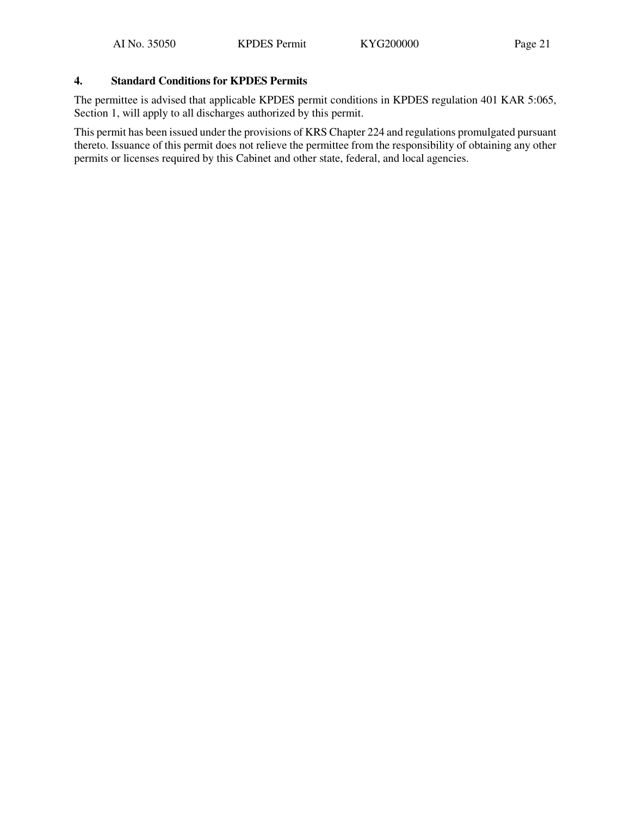# **4. Standard Conditions for KPDES Permits**

The permittee is advised that applicable KPDES permit conditions in KPDES regulation 401 KAR 5:065, Section 1, will apply to all discharges authorized by this permit.

This permit has been issued under the provisions of KRS Chapter 224 and regulations promulgated pursuant thereto. Issuance of this permit does not relieve the permittee from the responsibility of obtaining any other permits or licenses required by this Cabinet and other state, federal, and local agencies.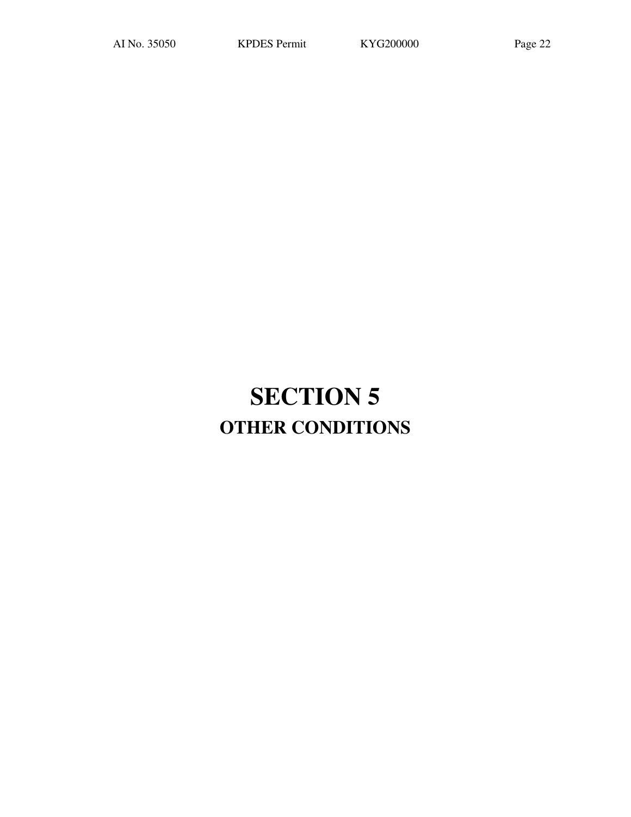# **SECTION 5 OTHER CONDITIONS**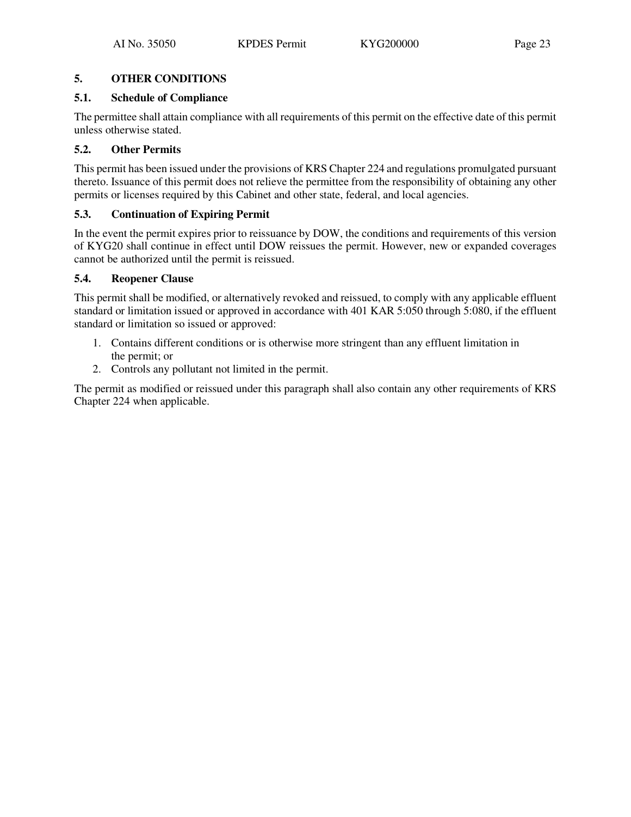# **5.1. Schedule of Compliance**

The permittee shall attain compliance with all requirements of this permit on the effective date of this permit unless otherwise stated.

# **5.2. Other Permits**

This permit has been issued under the provisions of KRS Chapter 224 and regulations promulgated pursuant thereto. Issuance of this permit does not relieve the permittee from the responsibility of obtaining any other permits or licenses required by this Cabinet and other state, federal, and local agencies.

# **5.3. Continuation of Expiring Permit**

In the event the permit expires prior to reissuance by DOW, the conditions and requirements of this version of KYG20 shall continue in effect until DOW reissues the permit. However, new or expanded coverages cannot be authorized until the permit is reissued.

# **5.4. Reopener Clause**

This permit shall be modified, or alternatively revoked and reissued, to comply with any applicable effluent standard or limitation issued or approved in accordance with 401 KAR 5:050 through 5:080, if the effluent standard or limitation so issued or approved:

- 1. Contains different conditions or is otherwise more stringent than any effluent limitation in the permit; or
- 2. Controls any pollutant not limited in the permit.

The permit as modified or reissued under this paragraph shall also contain any other requirements of KRS Chapter 224 when applicable.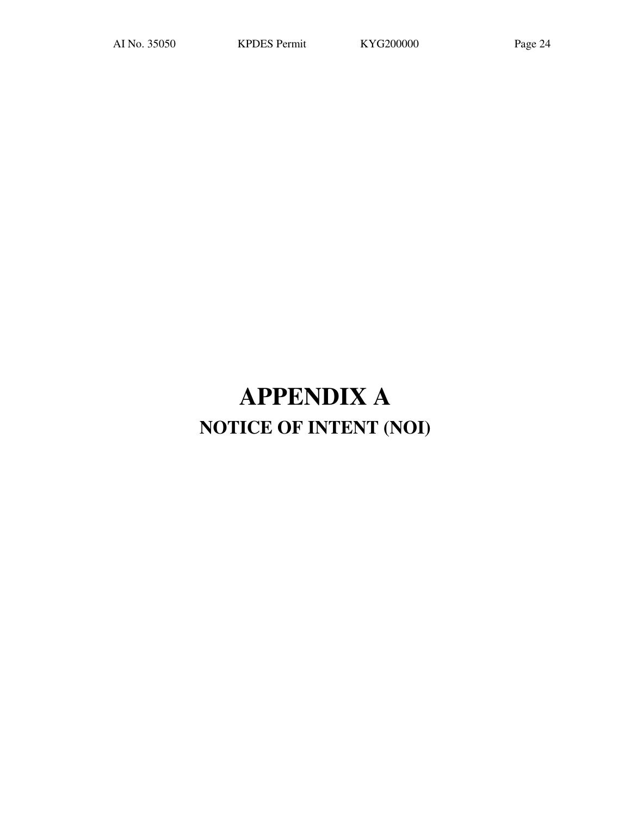# **APPENDIX A NOTICE OF INTENT (NOI)**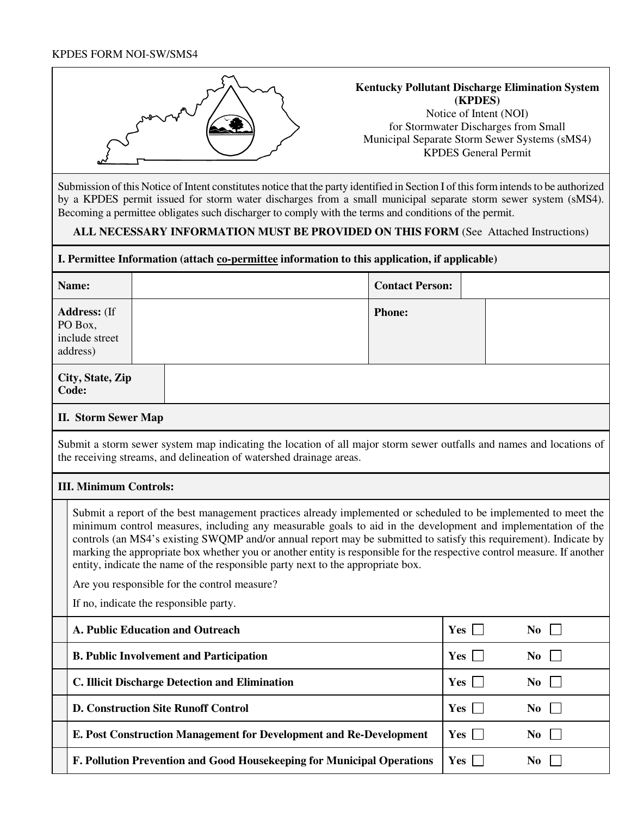## KPDES FORM NOI-SW/SMS4



### **Kentucky Pollutant Discharge Elimination System (KPDES)**  Notice of Intent (NOI) for Stormwater Discharges from Small

Municipal Separate Storm Sewer Systems (sMS4) KPDES General Permit

Submission of this Notice of Intent constitutes notice that the party identified in Section I of this form intends to be authorized by a KPDES permit issued for storm water discharges from a small municipal separate storm sewer system (sMS4). Becoming a permittee obligates such discharger to comply with the terms and conditions of the permit.

# **ALL NECESSARY INFORMATION MUST BE PROVIDED ON THIS FORM** (See Attached Instructions)

# **I. Permittee Information (attach co-permittee information to this application, if applicable)**

| Name:                                                        |  |  |  | <b>Contact Person:</b> |  |
|--------------------------------------------------------------|--|--|--|------------------------|--|
| <b>Address:</b> (If<br>PO Box,<br>include street<br>address) |  |  |  | <b>Phone:</b>          |  |
| City, State, Zip<br>Code:                                    |  |  |  |                        |  |

## **II. Storm Sewer Map**

Submit a storm sewer system map indicating the location of all major storm sewer outfalls and names and locations of the receiving streams, and delineation of watershed drainage areas.

# **III. Minimum Controls:**

Submit a report of the best management practices already implemented or scheduled to be implemented to meet the minimum control measures, including any measurable goals to aid in the development and implementation of the controls (an MS4's existing SWQMP and/or annual report may be submitted to satisfy this requirement). Indicate by marking the appropriate box whether you or another entity is responsible for the respective control measure. If another entity, indicate the name of the responsible party next to the appropriate box.

Are you responsible for the control measure?

If no, indicate the responsible party.

| A. Public Education and Outreach                                       | Yes         | No.            |
|------------------------------------------------------------------------|-------------|----------------|
| <b>B. Public Involvement and Participation</b>                         | Yes         | No.            |
| C. Illicit Discharge Detection and Elimination                         | Yes         | No.            |
| <b>D. Construction Site Runoff Control</b>                             | $Yes \vert$ | N <sub>0</sub> |
| E. Post Construction Management for Development and Re-Development     | $Yes \Box$  | No.            |
| F. Pollution Prevention and Good Housekeeping for Municipal Operations | $Yes$       | No             |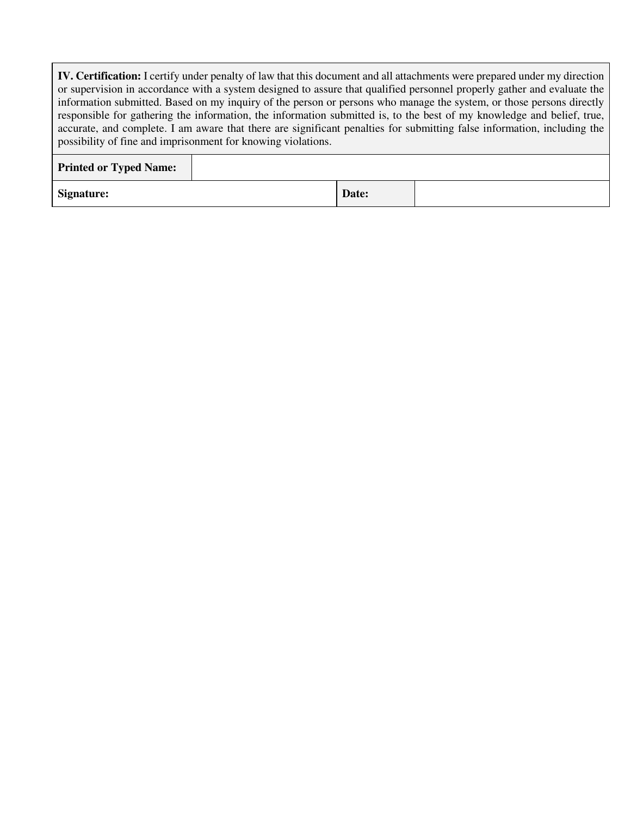**IV. Certification:** I certify under penalty of law that this document and all attachments were prepared under my direction or supervision in accordance with a system designed to assure that qualified personnel properly gather and evaluate the information submitted. Based on my inquiry of the person or persons who manage the system, or those persons directly responsible for gathering the information, the information submitted is, to the best of my knowledge and belief, true, accurate, and complete. I am aware that there are significant penalties for submitting false information, including the possibility of fine and imprisonment for knowing violations.

| <b>Printed or Typed Name:</b> |       |  |
|-------------------------------|-------|--|
| <b>Signature:</b>             | Date: |  |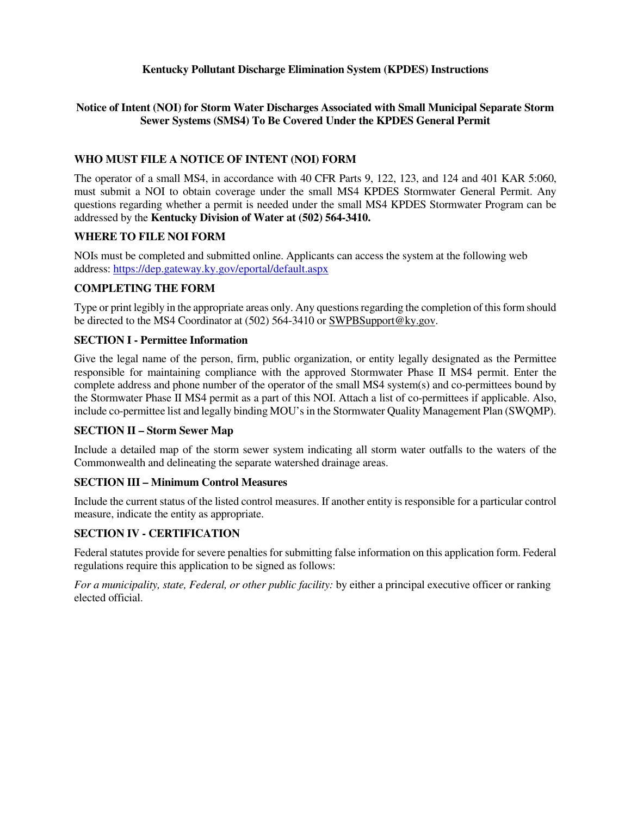# **Kentucky Pollutant Discharge Elimination System (KPDES) Instructions**

# **Notice of Intent (NOI) for Storm Water Discharges Associated with Small Municipal Separate Storm Sewer Systems (SMS4) To Be Covered Under the KPDES General Permit**

# **WHO MUST FILE A NOTICE OF INTENT (NOI) FORM**

The operator of a small MS4, in accordance with 40 CFR Parts 9, 122, 123, and 124 and 401 KAR 5:060, must submit a NOI to obtain coverage under the small MS4 KPDES Stormwater General Permit. Any questions regarding whether a permit is needed under the small MS4 KPDES Stormwater Program can be addressed by the **Kentucky Division of Water at (502) 564-3410.** 

# **WHERE TO FILE NOI FORM**

NOIs must be completed and submitted online. Applicants can access the system at the following web address: https://dep.gateway.ky.gov/eportal/default.aspx

# **COMPLETING THE FORM**

Type or print legibly in the appropriate areas only. Any questions regarding the completion of this form should be directed to the MS4 Coordinator at (502) 564-3410 or SWPBSupport@ky.gov.

# **SECTION I - Permittee Information**

Give the legal name of the person, firm, public organization, or entity legally designated as the Permittee responsible for maintaining compliance with the approved Stormwater Phase II MS4 permit. Enter the complete address and phone number of the operator of the small MS4 system(s) and co-permittees bound by the Stormwater Phase II MS4 permit as a part of this NOI. Attach a list of co-permittees if applicable. Also, include co-permittee list and legally binding MOU's in the Stormwater Quality Management Plan (SWQMP).

# **SECTION II – Storm Sewer Map**

Include a detailed map of the storm sewer system indicating all storm water outfalls to the waters of the Commonwealth and delineating the separate watershed drainage areas.

# **SECTION III – Minimum Control Measures**

Include the current status of the listed control measures. If another entity is responsible for a particular control measure, indicate the entity as appropriate.

# **SECTION IV - CERTIFICATION**

Federal statutes provide for severe penalties for submitting false information on this application form. Federal regulations require this application to be signed as follows:

*For a municipality, state, Federal, or other public facility:* by either a principal executive officer or ranking elected official.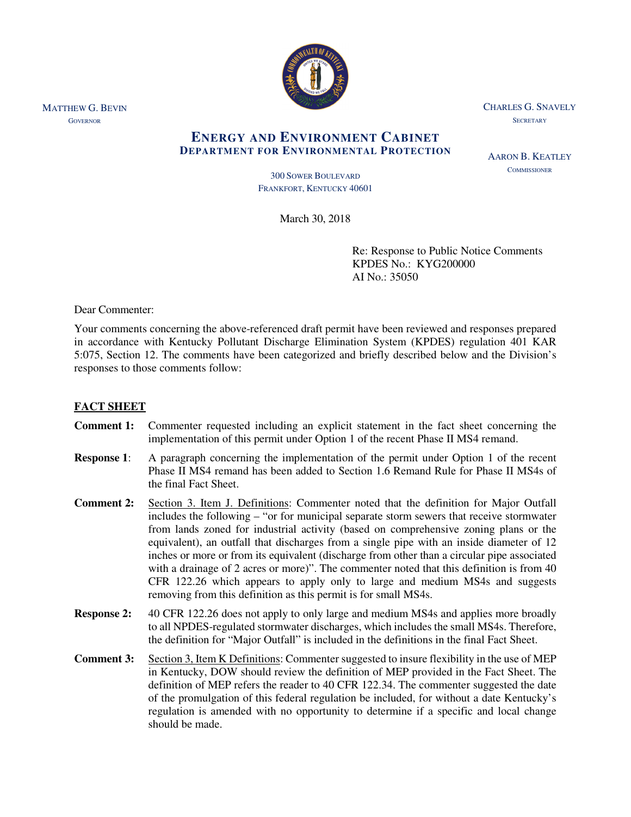

CHARLES G. SNAVELY **SECRETARY** 

AARON B. KEATLEY **COMMISSIONER** 

# **ENERGY AND ENVIRONMENT CABINET DEPARTMENT FOR ENVIRONMENTAL PROTECTION**

300 SOWER BOULEVARD FRANKFORT, KENTUCKY 40601

March 30, 2018

Re: Response to Public Notice Comments KPDES No.: KYG200000 AI No.: 35050

Dear Commenter:

Your comments concerning the above-referenced draft permit have been reviewed and responses prepared in accordance with Kentucky Pollutant Discharge Elimination System (KPDES) regulation 401 KAR 5:075, Section 12. The comments have been categorized and briefly described below and the Division's responses to those comments follow:

# **FACT SHEET**

- **Comment 1:** Commenter requested including an explicit statement in the fact sheet concerning the implementation of this permit under Option 1 of the recent Phase II MS4 remand.
- **Response 1**: A paragraph concerning the implementation of the permit under Option 1 of the recent Phase II MS4 remand has been added to Section 1.6 Remand Rule for Phase II MS4s of the final Fact Sheet.
- **Comment 2:** Section 3. Item J. Definitions: Commenter noted that the definition for Major Outfall includes the following – "or for municipal separate storm sewers that receive stormwater from lands zoned for industrial activity (based on comprehensive zoning plans or the equivalent), an outfall that discharges from a single pipe with an inside diameter of 12 inches or more or from its equivalent (discharge from other than a circular pipe associated with a drainage of 2 acres or more)". The commenter noted that this definition is from 40 CFR 122.26 which appears to apply only to large and medium MS4s and suggests removing from this definition as this permit is for small MS4s.
- **Response 2:** 40 CFR 122.26 does not apply to only large and medium MS4s and applies more broadly to all NPDES-regulated stormwater discharges, which includes the small MS4s. Therefore, the definition for "Major Outfall" is included in the definitions in the final Fact Sheet.
- **Comment 3:** Section 3, Item K Definitions: Commenter suggested to insure flexibility in the use of MEP in Kentucky, DOW should review the definition of MEP provided in the Fact Sheet. The definition of MEP refers the reader to 40 CFR 122.34. The commenter suggested the date of the promulgation of this federal regulation be included, for without a date Kentucky's regulation is amended with no opportunity to determine if a specific and local change should be made.

MATTHEW G. BEVIN **GOVERNOR**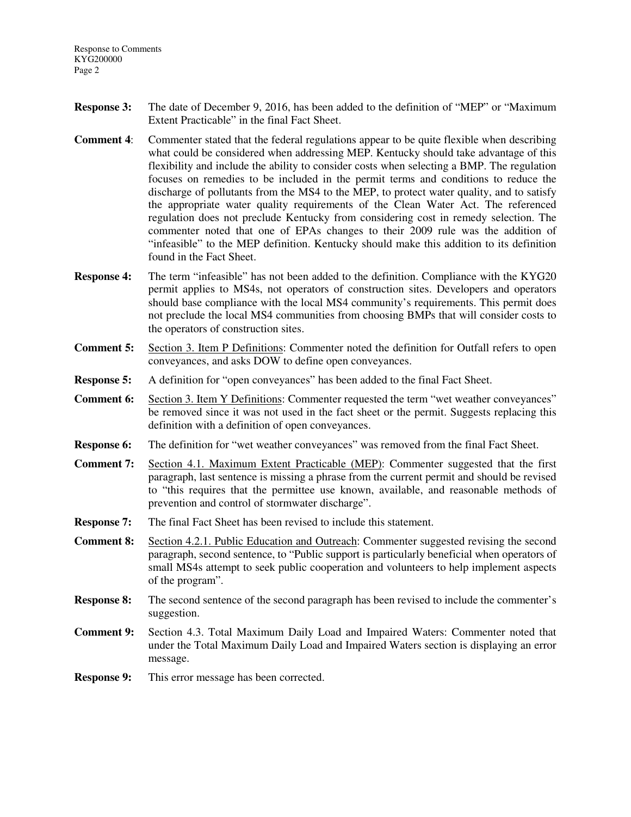- **Response 3:** The date of December 9, 2016, has been added to the definition of "MEP" or "Maximum Extent Practicable" in the final Fact Sheet.
- **Comment 4:** Commenter stated that the federal regulations appear to be quite flexible when describing what could be considered when addressing MEP. Kentucky should take advantage of this flexibility and include the ability to consider costs when selecting a BMP. The regulation focuses on remedies to be included in the permit terms and conditions to reduce the discharge of pollutants from the MS4 to the MEP, to protect water quality, and to satisfy the appropriate water quality requirements of the Clean Water Act. The referenced regulation does not preclude Kentucky from considering cost in remedy selection. The commenter noted that one of EPAs changes to their 2009 rule was the addition of "infeasible" to the MEP definition. Kentucky should make this addition to its definition found in the Fact Sheet.
- **Response 4:** The term "infeasible" has not been added to the definition. Compliance with the KYG20 permit applies to MS4s, not operators of construction sites. Developers and operators should base compliance with the local MS4 community's requirements. This permit does not preclude the local MS4 communities from choosing BMPs that will consider costs to the operators of construction sites.
- **Comment 5:** Section 3. Item P Definitions: Commenter noted the definition for Outfall refers to open conveyances, and asks DOW to define open conveyances.
- **Response 5:** A definition for "open conveyances" has been added to the final Fact Sheet.
- **Comment 6:** Section 3. Item Y Definitions: Commenter requested the term "wet weather conveyances" be removed since it was not used in the fact sheet or the permit. Suggests replacing this definition with a definition of open conveyances.
- **Response 6:** The definition for "wet weather conveyances" was removed from the final Fact Sheet.
- **Comment 7:** Section 4.1. Maximum Extent Practicable (MEP): Commenter suggested that the first paragraph, last sentence is missing a phrase from the current permit and should be revised to "this requires that the permittee use known, available, and reasonable methods of prevention and control of stormwater discharge".
- **Response 7:** The final Fact Sheet has been revised to include this statement.
- **Comment 8:** Section 4.2.1. Public Education and Outreach: Commenter suggested revising the second paragraph, second sentence, to "Public support is particularly beneficial when operators of small MS4s attempt to seek public cooperation and volunteers to help implement aspects of the program".
- **Response 8:** The second sentence of the second paragraph has been revised to include the commenter's suggestion.
- **Comment 9:** Section 4.3. Total Maximum Daily Load and Impaired Waters: Commenter noted that under the Total Maximum Daily Load and Impaired Waters section is displaying an error message.
- **Response 9:** This error message has been corrected.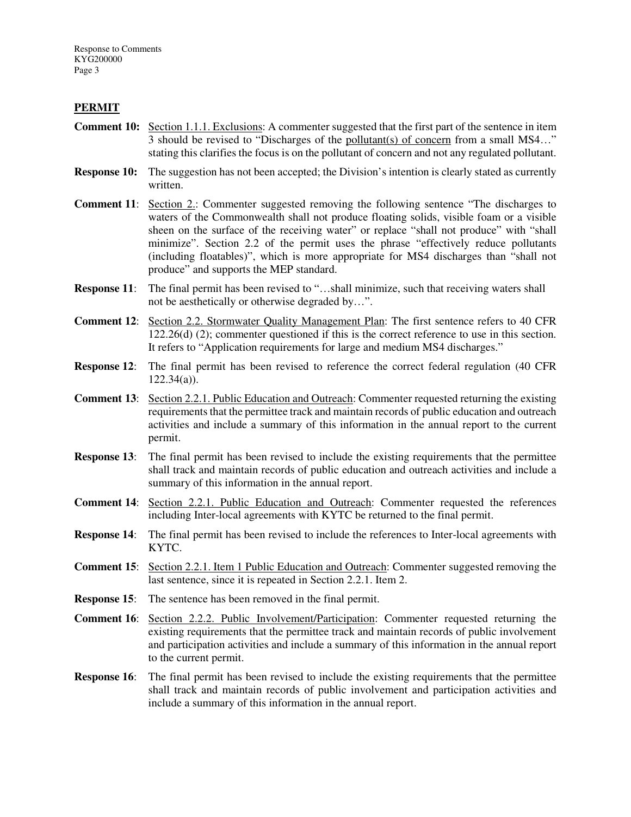### **PERMIT**

- **Comment 10:** Section 1.1.1. Exclusions: A commenter suggested that the first part of the sentence in item 3 should be revised to "Discharges of the pollutant(s) of concern from a small MS4…" stating this clarifies the focus is on the pollutant of concern and not any regulated pollutant.
- **Response 10:** The suggestion has not been accepted; the Division's intention is clearly stated as currently written.

**Comment 11:** Section 2.: Commenter suggested removing the following sentence "The discharges to waters of the Commonwealth shall not produce floating solids, visible foam or a visible sheen on the surface of the receiving water" or replace "shall not produce" with "shall minimize". Section 2.2 of the permit uses the phrase "effectively reduce pollutants (including floatables)", which is more appropriate for MS4 discharges than "shall not produce" and supports the MEP standard.

- **Response 11:** The final permit has been revised to "...shall minimize, such that receiving waters shall not be aesthetically or otherwise degraded by…".
- **Comment 12**: Section 2.2. Stormwater Quality Management Plan: The first sentence refers to 40 CFR 122.26(d) (2); commenter questioned if this is the correct reference to use in this section. It refers to "Application requirements for large and medium MS4 discharges."
- **Response 12**: The final permit has been revised to reference the correct federal regulation (40 CFR  $122.34(a)$ ).
- **Comment 13**: Section 2.2.1. Public Education and Outreach: Commenter requested returning the existing requirements that the permittee track and maintain records of public education and outreach activities and include a summary of this information in the annual report to the current permit.
- **Response 13:** The final permit has been revised to include the existing requirements that the permittee shall track and maintain records of public education and outreach activities and include a summary of this information in the annual report.
- **Comment 14:** Section 2.2.1. Public Education and Outreach: Commenter requested the references including Inter-local agreements with KYTC be returned to the final permit.
- **Response 14:** The final permit has been revised to include the references to Inter-local agreements with KYTC.
- **Comment 15:** Section 2.2.1. Item 1 Public Education and Outreach: Commenter suggested removing the last sentence, since it is repeated in Section 2.2.1. Item 2.
- **Response 15:** The sentence has been removed in the final permit.
- **Comment 16**: Section 2.2.2. Public Involvement/Participation: Commenter requested returning the existing requirements that the permittee track and maintain records of public involvement and participation activities and include a summary of this information in the annual report to the current permit.
- **Response 16:** The final permit has been revised to include the existing requirements that the permittee shall track and maintain records of public involvement and participation activities and include a summary of this information in the annual report.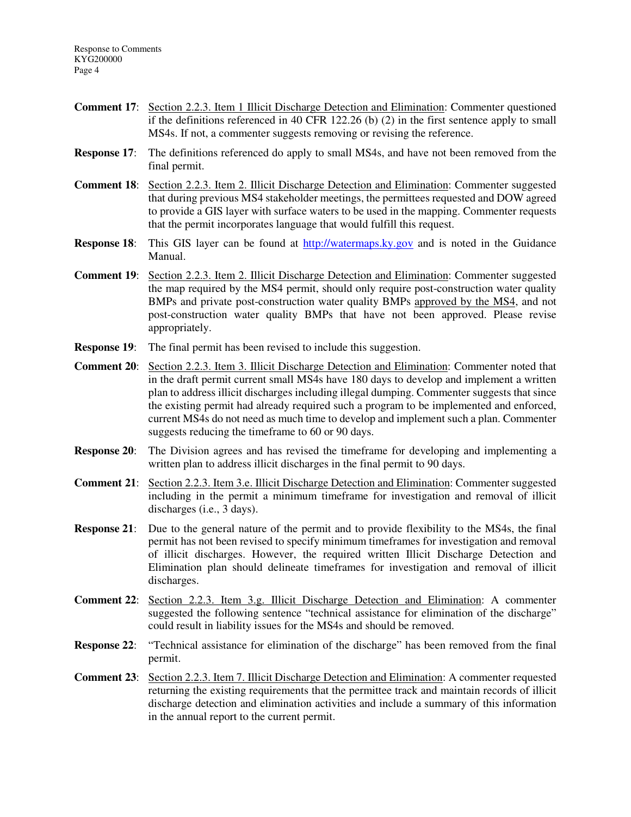- **Comment 17**: Section 2.2.3. Item 1 Illicit Discharge Detection and Elimination: Commenter questioned if the definitions referenced in 40 CFR 122.26 (b) (2) in the first sentence apply to small MS4s. If not, a commenter suggests removing or revising the reference.
- **Response 17:** The definitions referenced do apply to small MS4s, and have not been removed from the final permit.
- **Comment 18**: Section 2.2.3. Item 2. Illicit Discharge Detection and Elimination: Commenter suggested that during previous MS4 stakeholder meetings, the permittees requested and DOW agreed to provide a GIS layer with surface waters to be used in the mapping. Commenter requests that the permit incorporates language that would fulfill this request.
- **Response 18:** This GIS layer can be found at http://watermaps.ky.gov and is noted in the Guidance Manual.
- **Comment 19**: Section 2.2.3. Item 2. Illicit Discharge Detection and Elimination: Commenter suggested the map required by the MS4 permit, should only require post-construction water quality BMPs and private post-construction water quality BMPs approved by the MS4, and not post-construction water quality BMPs that have not been approved. Please revise appropriately.
- **Response 19:** The final permit has been revised to include this suggestion.
- **Comment 20**: Section 2.2.3. Item 3. Illicit Discharge Detection and Elimination: Commenter noted that in the draft permit current small MS4s have 180 days to develop and implement a written plan to address illicit discharges including illegal dumping. Commenter suggests that since the existing permit had already required such a program to be implemented and enforced, current MS4s do not need as much time to develop and implement such a plan. Commenter suggests reducing the timeframe to 60 or 90 days.
- **Response 20:** The Division agrees and has revised the timeframe for developing and implementing a written plan to address illicit discharges in the final permit to 90 days.
- **Comment 21**: Section 2.2.3. Item 3.e. Illicit Discharge Detection and Elimination: Commenter suggested including in the permit a minimum timeframe for investigation and removal of illicit discharges (i.e., 3 days).
- **Response 21:** Due to the general nature of the permit and to provide flexibility to the MS4s, the final permit has not been revised to specify minimum timeframes for investigation and removal of illicit discharges. However, the required written Illicit Discharge Detection and Elimination plan should delineate timeframes for investigation and removal of illicit discharges.
- **Comment 22**: Section 2.2.3. Item 3.g. Illicit Discharge Detection and Elimination: A commenter suggested the following sentence "technical assistance for elimination of the discharge" could result in liability issues for the MS4s and should be removed.
- **Response 22:** "Technical assistance for elimination of the discharge" has been removed from the final permit.
- **Comment 23**: Section 2.2.3. Item 7. Illicit Discharge Detection and Elimination: A commenter requested returning the existing requirements that the permittee track and maintain records of illicit discharge detection and elimination activities and include a summary of this information in the annual report to the current permit.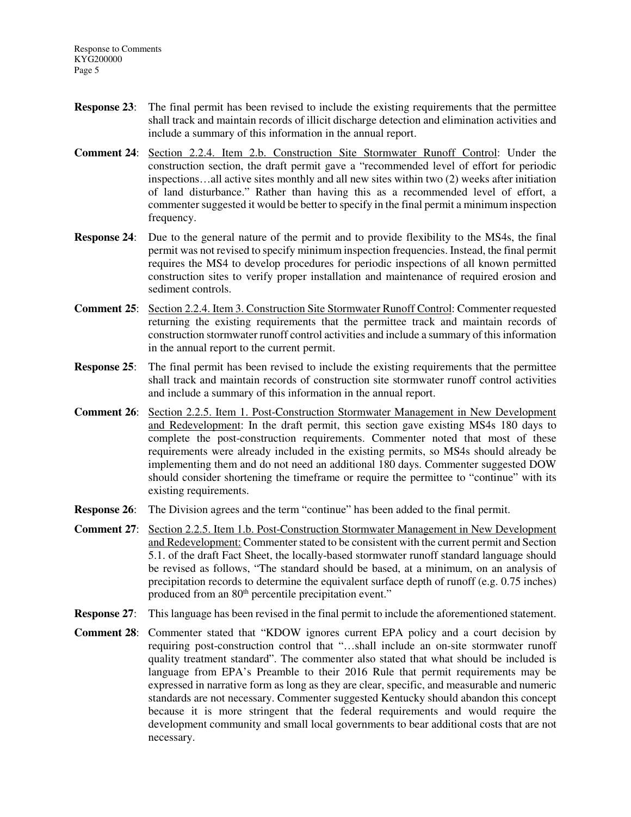- **Response 23:** The final permit has been revised to include the existing requirements that the permittee shall track and maintain records of illicit discharge detection and elimination activities and include a summary of this information in the annual report.
- **Comment 24**: Section 2.2.4. Item 2.b. Construction Site Stormwater Runoff Control: Under the construction section, the draft permit gave a "recommended level of effort for periodic inspections…all active sites monthly and all new sites within two (2) weeks after initiation of land disturbance." Rather than having this as a recommended level of effort, a commenter suggested it would be better to specify in the final permit a minimum inspection frequency.
- **Response 24:** Due to the general nature of the permit and to provide flexibility to the MS4s, the final permit was not revised to specify minimum inspection frequencies. Instead, the final permit requires the MS4 to develop procedures for periodic inspections of all known permitted construction sites to verify proper installation and maintenance of required erosion and sediment controls.
- **Comment 25**: Section 2.2.4. Item 3. Construction Site Stormwater Runoff Control: Commenter requested returning the existing requirements that the permittee track and maintain records of construction stormwater runoff control activities and include a summary of this information in the annual report to the current permit.
- **Response 25:** The final permit has been revised to include the existing requirements that the permittee shall track and maintain records of construction site stormwater runoff control activities and include a summary of this information in the annual report.
- **Comment 26**: Section 2.2.5. Item 1. Post-Construction Stormwater Management in New Development and Redevelopment: In the draft permit, this section gave existing MS4s 180 days to complete the post-construction requirements. Commenter noted that most of these requirements were already included in the existing permits, so MS4s should already be implementing them and do not need an additional 180 days. Commenter suggested DOW should consider shortening the timeframe or require the permittee to "continue" with its existing requirements.
- **Response 26:** The Division agrees and the term "continue" has been added to the final permit.
- **Comment 27**: Section 2.2.5. Item 1.b. Post-Construction Stormwater Management in New Development and Redevelopment: Commenter stated to be consistent with the current permit and Section 5.1. of the draft Fact Sheet, the locally-based stormwater runoff standard language should be revised as follows, "The standard should be based, at a minimum, on an analysis of precipitation records to determine the equivalent surface depth of runoff (e.g. 0.75 inches) produced from an 80<sup>th</sup> percentile precipitation event."
- **Response 27:** This language has been revised in the final permit to include the aforementioned statement.
- **Comment 28**: Commenter stated that "KDOW ignores current EPA policy and a court decision by requiring post-construction control that "…shall include an on-site stormwater runoff quality treatment standard". The commenter also stated that what should be included is language from EPA's Preamble to their 2016 Rule that permit requirements may be expressed in narrative form as long as they are clear, specific, and measurable and numeric standards are not necessary. Commenter suggested Kentucky should abandon this concept because it is more stringent that the federal requirements and would require the development community and small local governments to bear additional costs that are not necessary.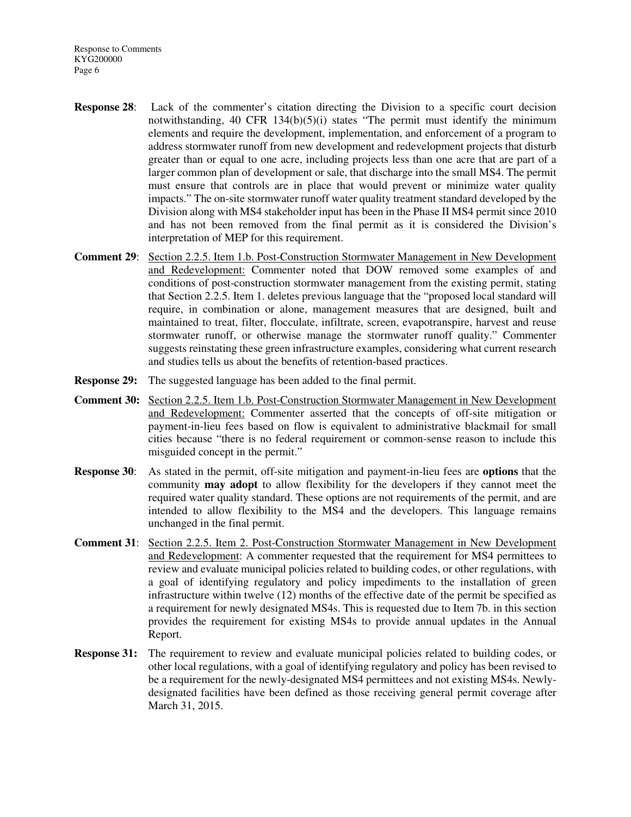- **Response 28**: Lack of the commenter's citation directing the Division to a specific court decision notwithstanding, 40 CFR  $134(b)(5)(i)$  states "The permit must identify the minimum elements and require the development, implementation, and enforcement of a program to address stormwater runoff from new development and redevelopment projects that disturb greater than or equal to one acre, including projects less than one acre that are part of a larger common plan of development or sale, that discharge into the small MS4. The permit must ensure that controls are in place that would prevent or minimize water quality impacts." The on-site stormwater runoff water quality treatment standard developed by the Division along with MS4 stakeholder input has been in the Phase II MS4 permit since 2010 and has not been removed from the final permit as it is considered the Division's interpretation of MEP for this requirement.
- **Comment 29**: Section 2.2.5. Item 1.b. Post-Construction Stormwater Management in New Development and Redevelopment: Commenter noted that DOW removed some examples of and conditions of post-construction stormwater management from the existing permit, stating that Section 2.2.5. Item 1. deletes previous language that the "proposed local standard will require, in combination or alone, management measures that are designed, built and maintained to treat, filter, flocculate, infiltrate, screen, evapotranspire, harvest and reuse stormwater runoff, or otherwise manage the stormwater runoff quality." Commenter suggests reinstating these green infrastructure examples, considering what current research and studies tells us about the benefits of retention-based practices.
- **Response 29:** The suggested language has been added to the final permit.
- **Comment 30:** Section 2.2.5. Item 1.b. Post-Construction Stormwater Management in New Development and Redevelopment: Commenter asserted that the concepts of off-site mitigation or payment-in-lieu fees based on flow is equivalent to administrative blackmail for small cities because "there is no federal requirement or common-sense reason to include this misguided concept in the permit."
- **Response 30**: As stated in the permit, off-site mitigation and payment-in-lieu fees are **options** that the community **may adopt** to allow flexibility for the developers if they cannot meet the required water quality standard. These options are not requirements of the permit, and are intended to allow flexibility to the MS4 and the developers. This language remains unchanged in the final permit.
- **Comment 31**: Section 2.2.5. Item 2. Post-Construction Stormwater Management in New Development and Redevelopment: A commenter requested that the requirement for MS4 permittees to review and evaluate municipal policies related to building codes, or other regulations, with a goal of identifying regulatory and policy impediments to the installation of green infrastructure within twelve (12) months of the effective date of the permit be specified as a requirement for newly designated MS4s. This is requested due to Item 7b. in this section provides the requirement for existing MS4s to provide annual updates in the Annual Report.
- **Response 31:** The requirement to review and evaluate municipal policies related to building codes, or other local regulations, with a goal of identifying regulatory and policy has been revised to be a requirement for the newly-designated MS4 permittees and not existing MS4s. Newlydesignated facilities have been defined as those receiving general permit coverage after March 31, 2015.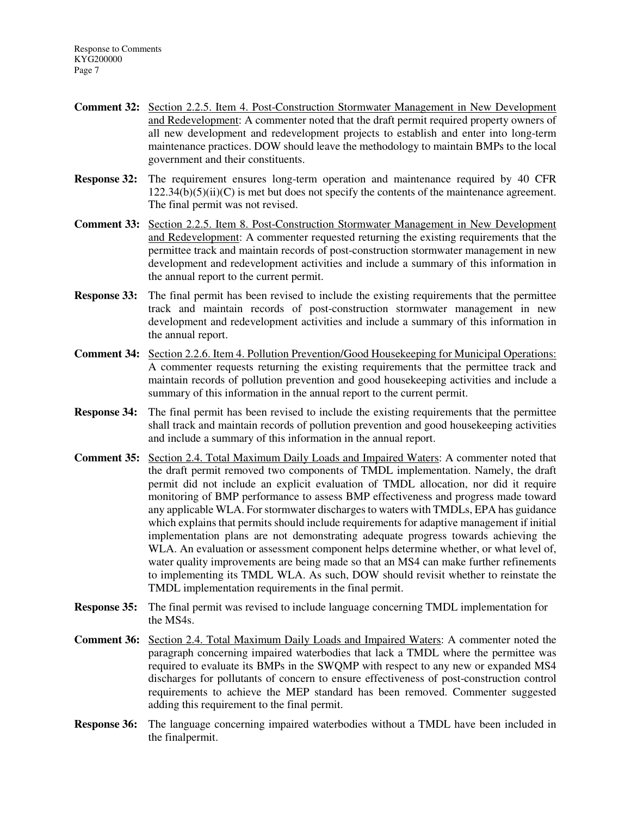- **Comment 32:** Section 2.2.5. Item 4. Post-Construction Stormwater Management in New Development and Redevelopment: A commenter noted that the draft permit required property owners of all new development and redevelopment projects to establish and enter into long-term maintenance practices. DOW should leave the methodology to maintain BMPs to the local government and their constituents.
- **Response 32:** The requirement ensures long-term operation and maintenance required by 40 CFR  $122.34(b)(5)(ii)(C)$  is met but does not specify the contents of the maintenance agreement. The final permit was not revised.
- **Comment 33:** Section 2.2.5. Item 8. Post-Construction Stormwater Management in New Development and Redevelopment: A commenter requested returning the existing requirements that the permittee track and maintain records of post-construction stormwater management in new development and redevelopment activities and include a summary of this information in the annual report to the current permit.
- **Response 33:** The final permit has been revised to include the existing requirements that the permittee track and maintain records of post-construction stormwater management in new development and redevelopment activities and include a summary of this information in the annual report.
- **Comment 34:** Section 2.2.6. Item 4. Pollution Prevention/Good Housekeeping for Municipal Operations: A commenter requests returning the existing requirements that the permittee track and maintain records of pollution prevention and good housekeeping activities and include a summary of this information in the annual report to the current permit.
- **Response 34:** The final permit has been revised to include the existing requirements that the permittee shall track and maintain records of pollution prevention and good housekeeping activities and include a summary of this information in the annual report.
- **Comment 35:** Section 2.4. Total Maximum Daily Loads and Impaired Waters: A commenter noted that the draft permit removed two components of TMDL implementation. Namely, the draft permit did not include an explicit evaluation of TMDL allocation, nor did it require monitoring of BMP performance to assess BMP effectiveness and progress made toward any applicable WLA. For stormwater discharges to waters with TMDLs, EPA has guidance which explains that permits should include requirements for adaptive management if initial implementation plans are not demonstrating adequate progress towards achieving the WLA. An evaluation or assessment component helps determine whether, or what level of, water quality improvements are being made so that an MS4 can make further refinements to implementing its TMDL WLA. As such, DOW should revisit whether to reinstate the TMDL implementation requirements in the final permit.
- **Response 35:** The final permit was revised to include language concerning TMDL implementation for the MS4s.
- **Comment 36:** Section 2.4. Total Maximum Daily Loads and Impaired Waters: A commenter noted the paragraph concerning impaired waterbodies that lack a TMDL where the permittee was required to evaluate its BMPs in the SWQMP with respect to any new or expanded MS4 discharges for pollutants of concern to ensure effectiveness of post-construction control requirements to achieve the MEP standard has been removed. Commenter suggested adding this requirement to the final permit.
- **Response 36:** The language concerning impaired waterbodies without a TMDL have been included in the finalpermit.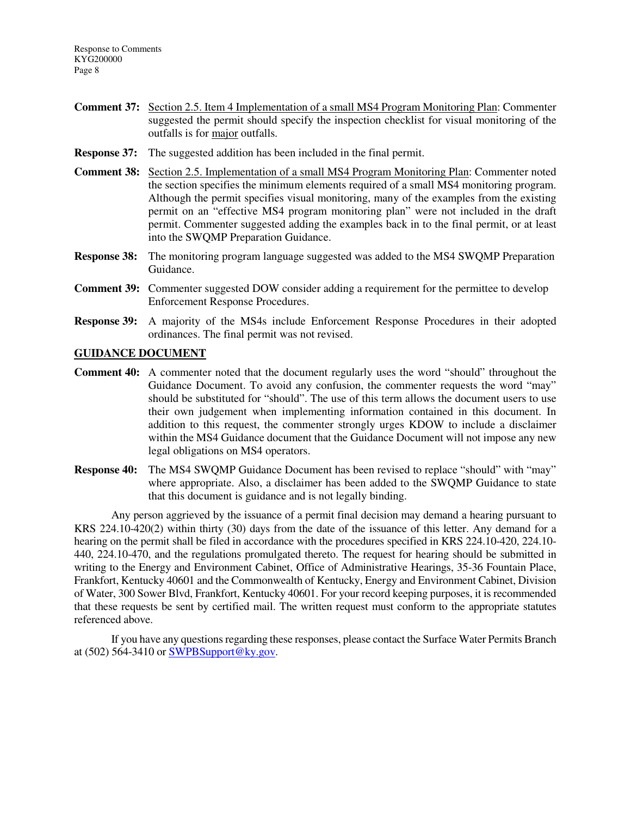- **Comment 37:** Section 2.5. Item 4 Implementation of a small MS4 Program Monitoring Plan: Commenter suggested the permit should specify the inspection checklist for visual monitoring of the outfalls is for major outfalls.
- **Response 37:** The suggested addition has been included in the final permit.
- **Comment 38:** Section 2.5. Implementation of a small MS4 Program Monitoring Plan: Commenter noted the section specifies the minimum elements required of a small MS4 monitoring program. Although the permit specifies visual monitoring, many of the examples from the existing permit on an "effective MS4 program monitoring plan" were not included in the draft permit. Commenter suggested adding the examples back in to the final permit, or at least into the SWQMP Preparation Guidance.
- **Response 38:** The monitoring program language suggested was added to the MS4 SWQMP Preparation Guidance.
- **Comment 39:** Commenter suggested DOW consider adding a requirement for the permittee to develop Enforcement Response Procedures.
- **Response 39:** A majority of the MS4s include Enforcement Response Procedures in their adopted ordinances. The final permit was not revised.

### **GUIDANCE DOCUMENT**

- **Comment 40:** A commenter noted that the document regularly uses the word "should" throughout the Guidance Document. To avoid any confusion, the commenter requests the word "may" should be substituted for "should". The use of this term allows the document users to use their own judgement when implementing information contained in this document. In addition to this request, the commenter strongly urges KDOW to include a disclaimer within the MS4 Guidance document that the Guidance Document will not impose any new legal obligations on MS4 operators.
- **Response 40:** The MS4 SWQMP Guidance Document has been revised to replace "should" with "may" where appropriate. Also, a disclaimer has been added to the SWQMP Guidance to state that this document is guidance and is not legally binding.

 Any person aggrieved by the issuance of a permit final decision may demand a hearing pursuant to KRS 224.10-420(2) within thirty (30) days from the date of the issuance of this letter. Any demand for a hearing on the permit shall be filed in accordance with the procedures specified in KRS 224.10-420, 224.10- 440, 224.10-470, and the regulations promulgated thereto. The request for hearing should be submitted in writing to the Energy and Environment Cabinet, Office of Administrative Hearings, 35-36 Fountain Place, Frankfort, Kentucky 40601 and the Commonwealth of Kentucky, Energy and Environment Cabinet, Division of Water, 300 Sower Blvd, Frankfort, Kentucky 40601. For your record keeping purposes, it is recommended that these requests be sent by certified mail. The written request must conform to the appropriate statutes referenced above.

 If you have any questions regarding these responses, please contact the Surface Water Permits Branch at (502) 564-3410 or  $\frac{\text{SWPBS} \cdot \text{yport@ky.gov}}{\text{SWPBS} \cdot \text{key}}$ .